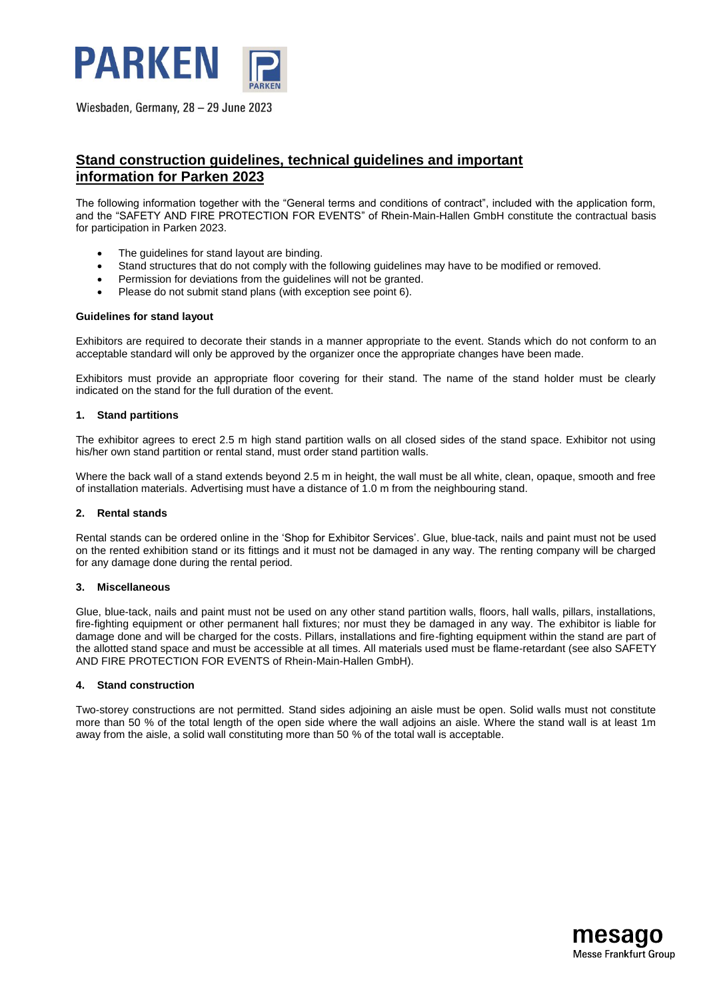

# **Stand construction guidelines, technical guidelines and important information for Parken 2023**

The following information together with the "General terms and conditions of contract", included with the application form, and the "SAFETY AND FIRE PROTECTION FOR EVENTS" of Rhein-Main-Hallen GmbH constitute the contractual basis for participation in Parken 2023.

- The guidelines for stand layout are binding.
- Stand structures that do not comply with the following guidelines may have to be modified or removed.
- Permission for deviations from the guidelines will not be granted.
- Please do not submit stand plans (with exception see point 6).

#### **Guidelines for stand layout**

Exhibitors are required to decorate their stands in a manner appropriate to the event. Stands which do not conform to an acceptable standard will only be approved by the organizer once the appropriate changes have been made.

Exhibitors must provide an appropriate floor covering for their stand. The name of the stand holder must be clearly indicated on the stand for the full duration of the event.

#### **1. Stand partitions**

The exhibitor agrees to erect 2.5 m high stand partition walls on all closed sides of the stand space. Exhibitor not using his/her own stand partition or rental stand, must order stand partition walls.

Where the back wall of a stand extends beyond 2.5 m in height, the wall must be all white, clean, opaque, smooth and free of installation materials. Advertising must have a distance of 1.0 m from the neighbouring stand.

#### **2. Rental stands**

Rental stands can be ordered online in the 'Shop for Exhibitor Services'. Glue, blue-tack, nails and paint must not be used on the rented exhibition stand or its fittings and it must not be damaged in any way. The renting company will be charged for any damage done during the rental period.

#### **3. Miscellaneous**

Glue, blue-tack, nails and paint must not be used on any other stand partition walls, floors, hall walls, pillars, installations, fire-fighting equipment or other permanent hall fixtures; nor must they be damaged in any way. The exhibitor is liable for damage done and will be charged for the costs. Pillars, installations and fire-fighting equipment within the stand are part of the allotted stand space and must be accessible at all times. All materials used must be flame-retardant (see also SAFETY AND FIRE PROTECTION FOR EVENTS of Rhein-Main-Hallen GmbH).

#### **4. Stand construction**

Two-storey constructions are not permitted. Stand sides adjoining an aisle must be open. Solid walls must not constitute more than 50 % of the total length of the open side where the wall adjoins an aisle. Where the stand wall is at least 1m away from the aisle, a solid wall constituting more than 50 % of the total wall is acceptable.

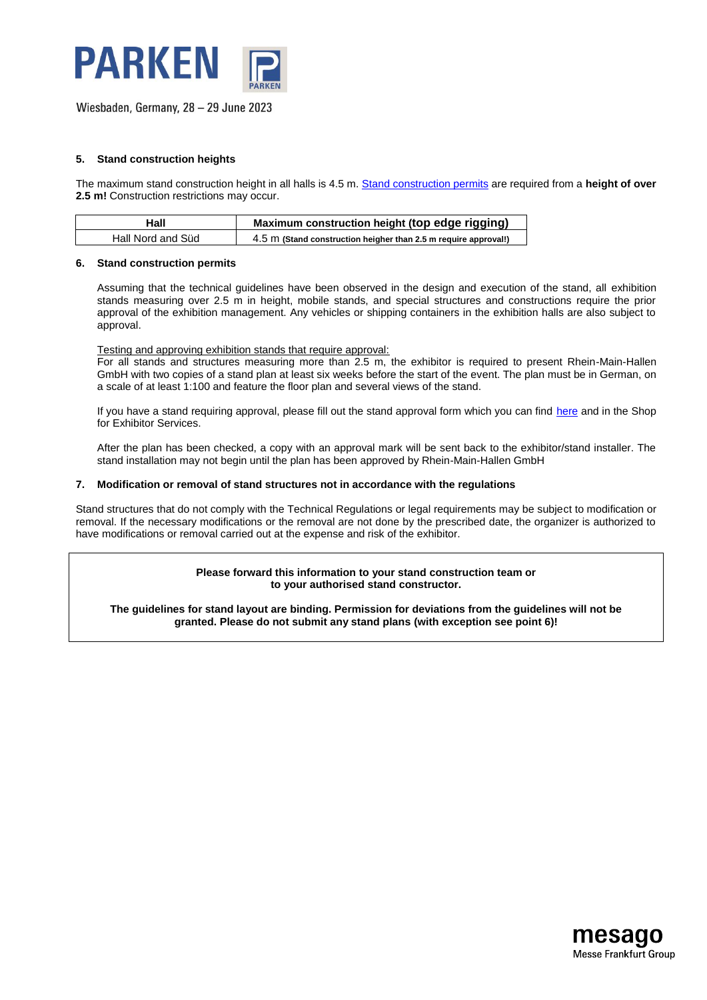

#### **5. Stand construction heights**

The maximum stand construction height in all halls is 4.5 m. [Stand construction permits](https://download.mesago.de/PRK/PRK2023/Service/Registration_for_stand_construction.pdf) are required from a **height of over 2.5 m!** Construction restrictions may occur.

| Hall              | Maximum construction height (top edge rigging)                  |
|-------------------|-----------------------------------------------------------------|
| Hall Nord and Süd | 4.5 m (Stand construction heigher than 2.5 m require approval!) |

#### **6. Stand construction permits**

Assuming that the technical guidelines have been observed in the design and execution of the stand, all exhibition stands measuring over 2.5 m in height, mobile stands, and special structures and constructions require the prior approval of the exhibition management. Any vehicles or shipping containers in the exhibition halls are also subject to approval.

Testing and approving exhibition stands that require approval:

For all stands and structures measuring more than 2.5 m, the exhibitor is required to present Rhein-Main-Hallen GmbH with two copies of a stand plan at least six weeks before the start of the event. The plan must be in German, on a scale of at least 1:100 and feature the floor plan and several views of the stand.

If you have a stand requiring approval, please fill out the stand approval form which you can find [here](https://download.mesago.de/PRK/PRK2023/Service/Registration_for_stand_construction.pdf) and in the Shop for Exhibitor Services.

After the plan has been checked, a copy with an approval mark will be sent back to the exhibitor/stand installer. The stand installation may not begin until the plan has been approved by Rhein-Main-Hallen GmbH

#### **7. Modification or removal of stand structures not in accordance with the regulations**

Stand structures that do not comply with the Technical Regulations or legal requirements may be subject to modification or removal. If the necessary modifications or the removal are not done by the prescribed date, the organizer is authorized to have modifications or removal carried out at the expense and risk of the exhibitor.

> **Please forward this information to your stand construction team or to your authorised stand constructor.**

**The guidelines for stand layout are binding. Permission for deviations from the guidelines will not be granted. Please do not submit any stand plans (with exception see point 6)!**

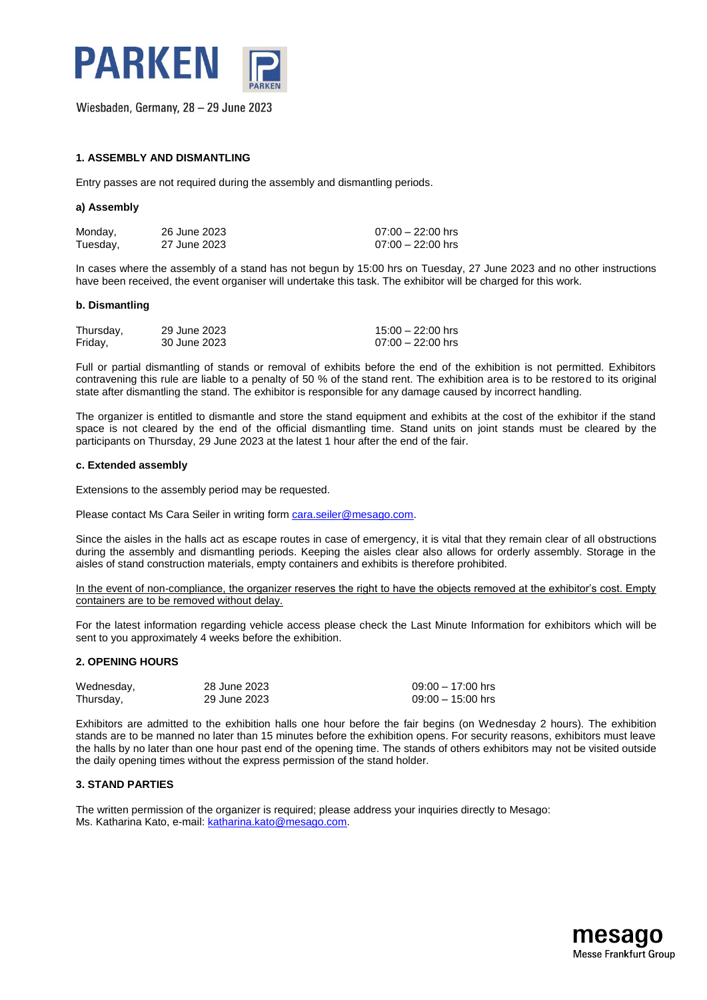

#### **1. ASSEMBLY AND DISMANTLING**

Entry passes are not required during the assembly and dismantling periods.

#### **a) Assembly**

| Monday,  | 26 June 2023 | $07:00 - 22:00$ hrs |
|----------|--------------|---------------------|
| Tuesday, | 27 June 2023 | 07:00 – 22:00 hrs   |

In cases where the assembly of a stand has not begun by 15:00 hrs on Tuesday, 27 June 2023 and no other instructions have been received, the event organiser will undertake this task. The exhibitor will be charged for this work.

#### **b. Dismantling**

| Thursday, | 29 June 2023 | $15:00 - 22:00$ hrs |
|-----------|--------------|---------------------|
| Friday,   | 30 June 2023 | $07:00 - 22:00$ hrs |

Full or partial dismantling of stands or removal of exhibits before the end of the exhibition is not permitted. Exhibitors contravening this rule are liable to a penalty of 50 % of the stand rent. The exhibition area is to be restored to its original state after dismantling the stand. The exhibitor is responsible for any damage caused by incorrect handling.

The organizer is entitled to dismantle and store the stand equipment and exhibits at the cost of the exhibitor if the stand space is not cleared by the end of the official dismantling time. Stand units on joint stands must be cleared by the participants on Thursday, 29 June 2023 at the latest 1 hour after the end of the fair.

#### **c. Extended assembly**

Extensions to the assembly period may be requested.

Please contact Ms Cara Seiler in writing form [cara.seiler@mesago.com.](mailto:cara.seiler@mesago.com)

Since the aisles in the halls act as escape routes in case of emergency, it is vital that they remain clear of all obstructions during the assembly and dismantling periods. Keeping the aisles clear also allows for orderly assembly. Storage in the aisles of stand construction materials, empty containers and exhibits is therefore prohibited.

In the event of non-compliance, the organizer reserves the right to have the objects removed at the exhibitor's cost. Empty containers are to be removed without delay.

For the latest information regarding vehicle access please check the Last Minute Information for exhibitors which will be sent to you approximately 4 weeks before the exhibition.

#### **2. OPENING HOURS**

| Wednesday, | 28 June 2023 | $09:00 - 17:00$ hrs |
|------------|--------------|---------------------|
| Thursday,  | 29 June 2023 | $09:00 - 15:00$ hrs |

Exhibitors are admitted to the exhibition halls one hour before the fair begins (on Wednesday 2 hours). The exhibition stands are to be manned no later than 15 minutes before the exhibition opens. For security reasons, exhibitors must leave the halls by no later than one hour past end of the opening time. The stands of others exhibitors may not be visited outside the daily opening times without the express permission of the stand holder.

#### **3. STAND PARTIES**

The written permission of the organizer is required; please address your inquiries directly to Mesago: Ms. Katharina Kato, e-mail: [katharina.kato@mesago.com.](mailto:katharina.kato@mesago.com)

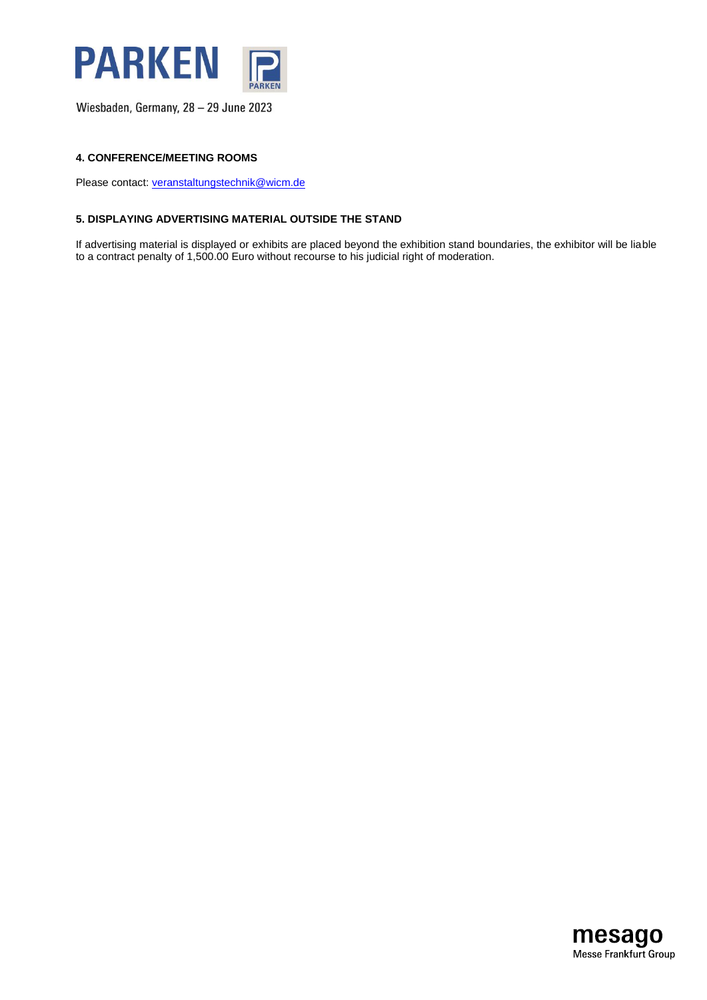

#### **4. CONFERENCE/MEETING ROOMS**

Please contact: [veranstaltungstechnik@wicm.de](mailto:veranstaltungstechnik@wicm.de)

#### **5. DISPLAYING ADVERTISING MATERIAL OUTSIDE THE STAND**

If advertising material is displayed or exhibits are placed beyond the exhibition stand boundaries, the exhibitor will be liable to a contract penalty of 1,500.00 Euro without recourse to his judicial right of moderation.

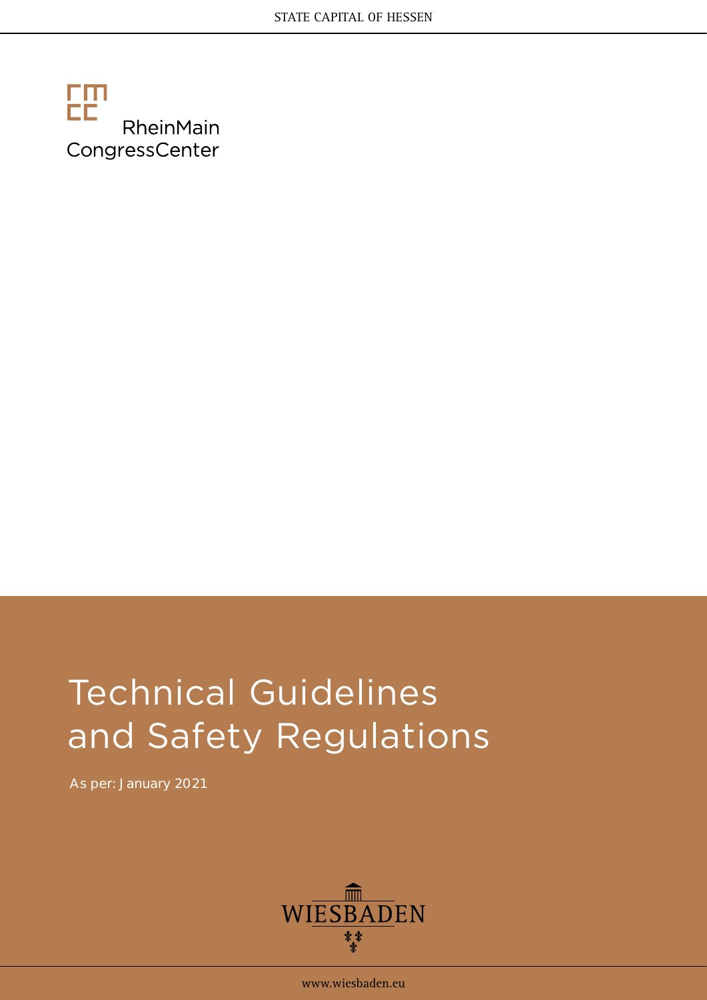

# Technical Guidelines and Safety Regulations

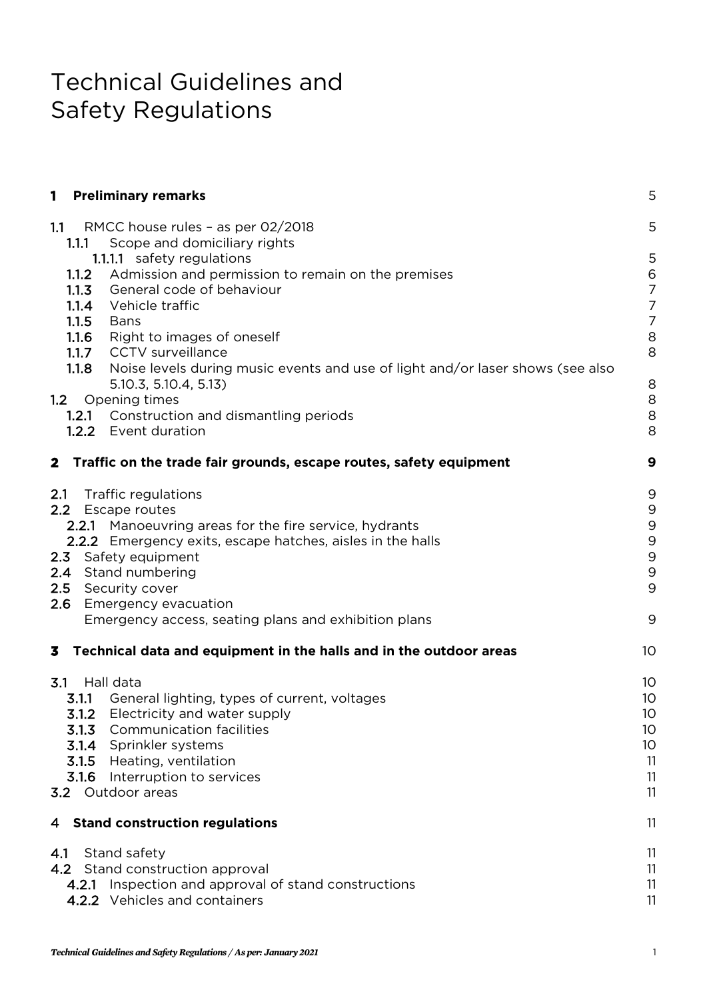# Technical Guidelines and Safety Regulations

| $\mathbf{1}$<br><b>Preliminary remarks</b>                                                                                                                                                                                                                                                                                                                                                                                                                                                   | 5                                                                                          |
|----------------------------------------------------------------------------------------------------------------------------------------------------------------------------------------------------------------------------------------------------------------------------------------------------------------------------------------------------------------------------------------------------------------------------------------------------------------------------------------------|--------------------------------------------------------------------------------------------|
| 1.1<br>RMCC house rules - as per 02/2018                                                                                                                                                                                                                                                                                                                                                                                                                                                     | 5                                                                                          |
| Scope and domiciliary rights<br>1.1.1<br>1.1.1.1 safety regulations<br>Admission and permission to remain on the premises<br>1.1.2<br>1.1.3 General code of behaviour<br>Vehicle traffic<br>1.1.4<br>1.1.5<br>Bans<br>1.1.6 Right to images of oneself<br>1.1.7 CCTV surveillance<br>1.1.8 Noise levels during music events and use of light and/or laser shows (see also<br>5.10.3, 5.10.4, 5.13<br>1.2 Opening times<br>1.2.1 Construction and dismantling periods<br>1.2.2 Event duration | 5<br>6<br>$\overline{7}$<br>$\overline{7}$<br>$\overline{7}$<br>8<br>8<br>8<br>8<br>8<br>8 |
| 2 Traffic on the trade fair grounds, escape routes, safety equipment                                                                                                                                                                                                                                                                                                                                                                                                                         | 9                                                                                          |
| 2.1<br>Traffic regulations<br>2.2 Escape routes<br>2.2.1 Manoeuvring areas for the fire service, hydrants<br>2.2.2 Emergency exits, escape hatches, aisles in the halls<br>2.3<br>Safety equipment<br>Stand numbering<br>2.4<br>2.5<br>Security cover<br>2.6<br>Emergency evacuation<br>Emergency access, seating plans and exhibition plans                                                                                                                                                 | 9<br>9<br>9<br>9<br>9<br>9<br>9<br>9                                                       |
| 3<br>Technical data and equipment in the halls and in the outdoor areas                                                                                                                                                                                                                                                                                                                                                                                                                      | 10                                                                                         |
| 3.1<br>Hall data<br>3.1.1<br>General lighting, types of current, voltages<br>3.1.2<br>Electricity and water supply<br>3.1.3<br><b>Communication facilities</b><br>3.1.4 Sprinkler systems<br>3.1.5 Heating, ventilation<br>3.1.6 Interruption to services<br>3.2 Outdoor areas                                                                                                                                                                                                               | 10<br>10<br>10<br>10<br>10<br>11<br>11<br>11                                               |
| 4 Stand construction regulations                                                                                                                                                                                                                                                                                                                                                                                                                                                             | 11                                                                                         |
| 4.1 Stand safety<br>4.2 Stand construction approval<br>4.2.1 Inspection and approval of stand constructions<br>4.2.2 Vehicles and containers                                                                                                                                                                                                                                                                                                                                                 | 11<br>11<br>11<br>11                                                                       |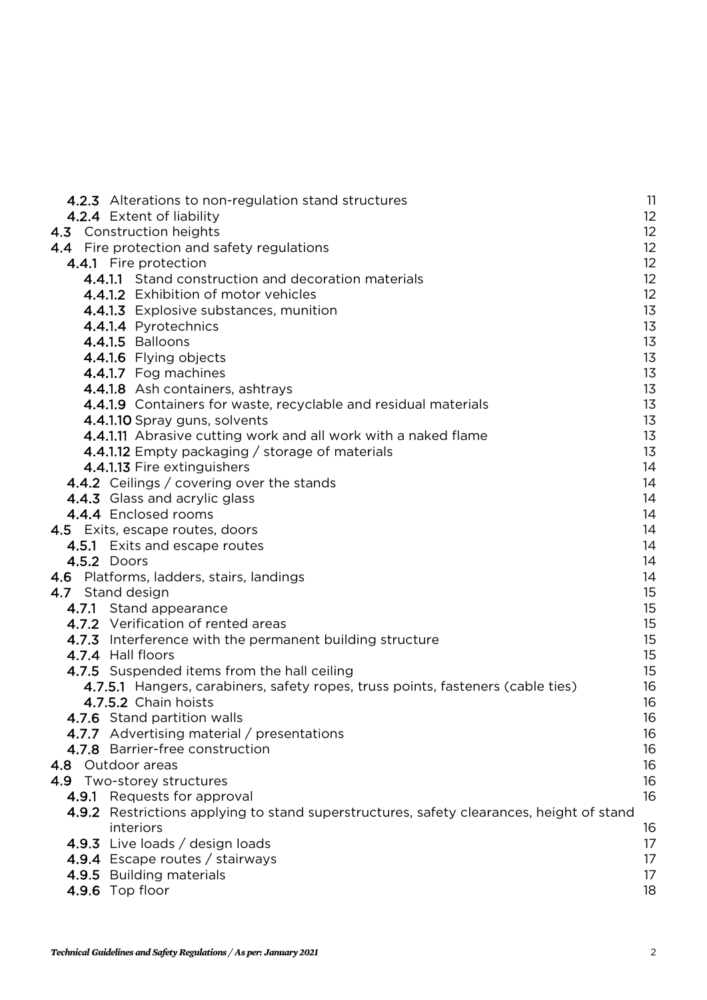| 4.2.3 Alterations to non-regulation stand structures                                     | 11             |
|------------------------------------------------------------------------------------------|----------------|
| 4.2.4 Extent of liability                                                                | 12             |
| 4.3 Construction heights                                                                 | 12             |
| 4.4 Fire protection and safety regulations                                               | 12             |
| 4.4.1 Fire protection                                                                    | 12             |
| 4.4.1.1 Stand construction and decoration materials                                      | 12             |
| 4.4.1.2 Exhibition of motor vehicles                                                     | 12             |
| 4.4.1.3 Explosive substances, munition                                                   | 1 <sub>3</sub> |
| 4.4.1.4 Pyrotechnics                                                                     | 1 <sub>3</sub> |
| 4.4.1.5 Balloons                                                                         | 1 <sub>3</sub> |
| 4.4.1.6 Flying objects                                                                   | 1 <sub>3</sub> |
| 4.4.1.7 Fog machines                                                                     | 13             |
| 4.4.1.8 Ash containers, ashtrays                                                         | 1 <sub>3</sub> |
| 4.4.1.9 Containers for waste, recyclable and residual materials                          | 1 <sub>3</sub> |
| 4.4.1.10 Spray guns, solvents                                                            | 13             |
| 4.4.1.11 Abrasive cutting work and all work with a naked flame                           | 1 <sub>3</sub> |
| 4.4.1.12 Empty packaging / storage of materials                                          | 1 <sub>3</sub> |
| 4.4.1.13 Fire extinguishers                                                              | 14             |
| 4.4.2 Ceilings / covering over the stands                                                | 14             |
| 4.4.3 Glass and acrylic glass                                                            | 14             |
| 4.4.4 Enclosed rooms                                                                     | 14             |
| 4.5 Exits, escape routes, doors                                                          | 14             |
| 4.5.1 Exits and escape routes<br>4.5.2 Doors                                             | 14<br>14       |
| 4.6 Platforms, ladders, stairs, landings                                                 | 14             |
| 4.7 Stand design                                                                         | 15             |
| 4.7.1 Stand appearance                                                                   | 15             |
| 4.7.2 Verification of rented areas                                                       | 15             |
| 4.7.3 Interference with the permanent building structure                                 | 15             |
| 4.7.4 Hall floors                                                                        | 15             |
| 4.7.5 Suspended items from the hall ceiling                                              | 15             |
| 4.7.5.1 Hangers, carabiners, safety ropes, truss points, fasteners (cable ties)          | 16             |
| 4.7.5.2 Chain hoists                                                                     | 16             |
| 4.7.6 Stand partition walls                                                              | 16             |
| 4.7.7 Advertising material / presentations                                               | 16             |
| 4.7.8 Barrier-free construction                                                          | 16             |
| 4.8 Outdoor areas                                                                        | 16             |
| 4.9 Two-storey structures                                                                | 16             |
| 4.9.1 Requests for approval                                                              | 16             |
| 4.9.2 Restrictions applying to stand superstructures, safety clearances, height of stand |                |
| interiors                                                                                | 16             |
| 4.9.3 Live loads / design loads                                                          | 17             |
| 4.9.4 Escape routes / stairways                                                          | 17             |
| 4.9.5 Building materials                                                                 | 17             |
| 4.9.6 Top floor                                                                          | 18             |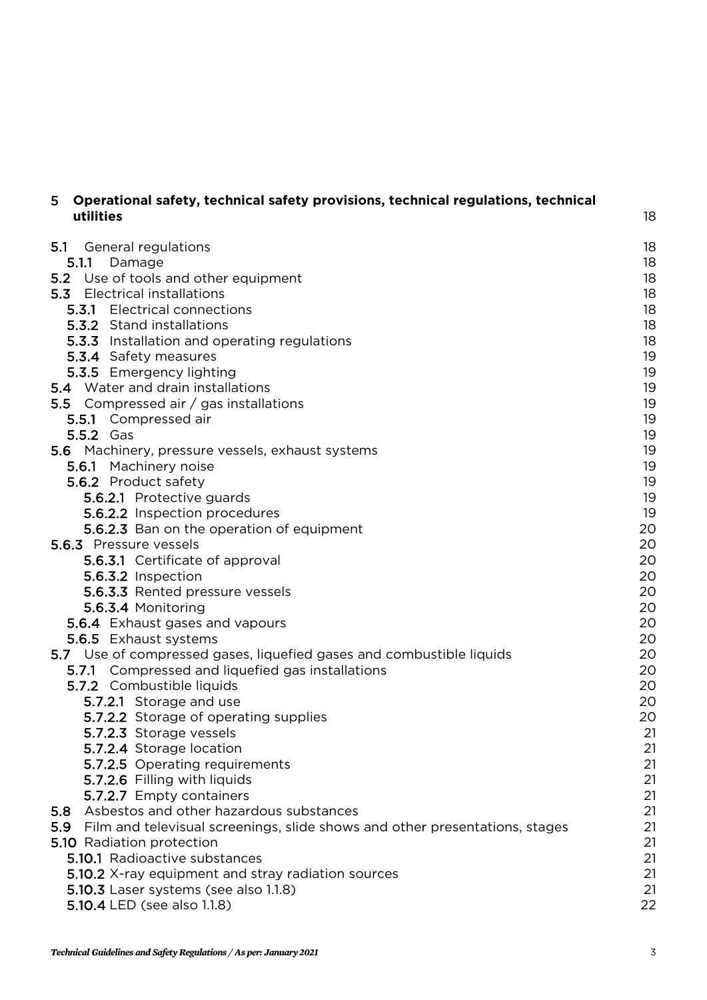| Operational safety, technical safety provisions, technical regulations, technical<br>5<br>utilities | 18 |
|-----------------------------------------------------------------------------------------------------|----|
|                                                                                                     |    |
| 5.1<br>General regulations                                                                          | 18 |
| 5.1.1<br>Damage                                                                                     | 18 |
| Use of tools and other equipment<br>5.2                                                             | 18 |
| <b>5.3</b> Electrical installations                                                                 | 18 |
| <b>5.3.1</b> Electrical connections                                                                 | 18 |
| <b>5.3.2</b> Stand installations                                                                    | 18 |
| 5.3.3 Installation and operating regulations                                                        | 18 |
| 5.3.4 Safety measures                                                                               | 19 |
| 5.3.5 Emergency lighting                                                                            | 19 |
| 5.4 Water and drain installations                                                                   | 19 |
| <b>5.5</b> Compressed air / gas installations                                                       | 19 |
| 5.5.1 Compressed air                                                                                | 19 |
| 5.5.2 Gas                                                                                           | 19 |
| 5.6 Machinery, pressure vessels, exhaust systems                                                    | 19 |
| 5.6.1 Machinery noise                                                                               | 19 |
| 5.6.2 Product safety                                                                                | 19 |
| 5.6.2.1 Protective guards                                                                           | 19 |
| 5.6.2.2 Inspection procedures                                                                       | 19 |
| 5.6.2.3 Ban on the operation of equipment                                                           | 20 |
| 5.6.3 Pressure vessels                                                                              | 20 |
| 5.6.3.1 Certificate of approval                                                                     | 20 |
| 5.6.3.2 Inspection                                                                                  | 20 |
| 5.6.3.3 Rented pressure vessels                                                                     | 20 |
| 5.6.3.4 Monitoring                                                                                  | 20 |
| 5.6.4 Exhaust gases and vapours                                                                     | 20 |
| 5.6.5 Exhaust systems                                                                               | 20 |
| 5.7 Use of compressed gases, liquefied gases and combustible liquids                                | 20 |
| 5.7.1 Compressed and liquefied gas installations                                                    | 20 |
| 5.7.2 Combustible liquids                                                                           | 20 |
| 5.7.2.1 Storage and use                                                                             | 20 |
| 5.7.2.2 Storage of operating supplies                                                               | 20 |
| 5.7.2.3 Storage vessels                                                                             | 21 |
| 5.7.2.4 Storage location                                                                            | 21 |
| 5.7.2.5 Operating requirements                                                                      | 21 |
| 5.7.2.6 Filling with liquids                                                                        | 21 |
| 5.7.2.7 Empty containers                                                                            | 21 |
| Asbestos and other hazardous substances<br>5.8                                                      | 21 |
| Film and televisual screenings, slide shows and other presentations, stages<br>5.9                  | 21 |
| 5.10 Radiation protection                                                                           | 21 |
| 5.10.1 Radioactive substances                                                                       | 21 |
| 5.10.2 X-ray equipment and stray radiation sources                                                  | 21 |
| 5.10.3 Laser systems (see also 1.1.8)                                                               | 21 |
| 5.10.4 LED (see also 1.1.8)                                                                         | 22 |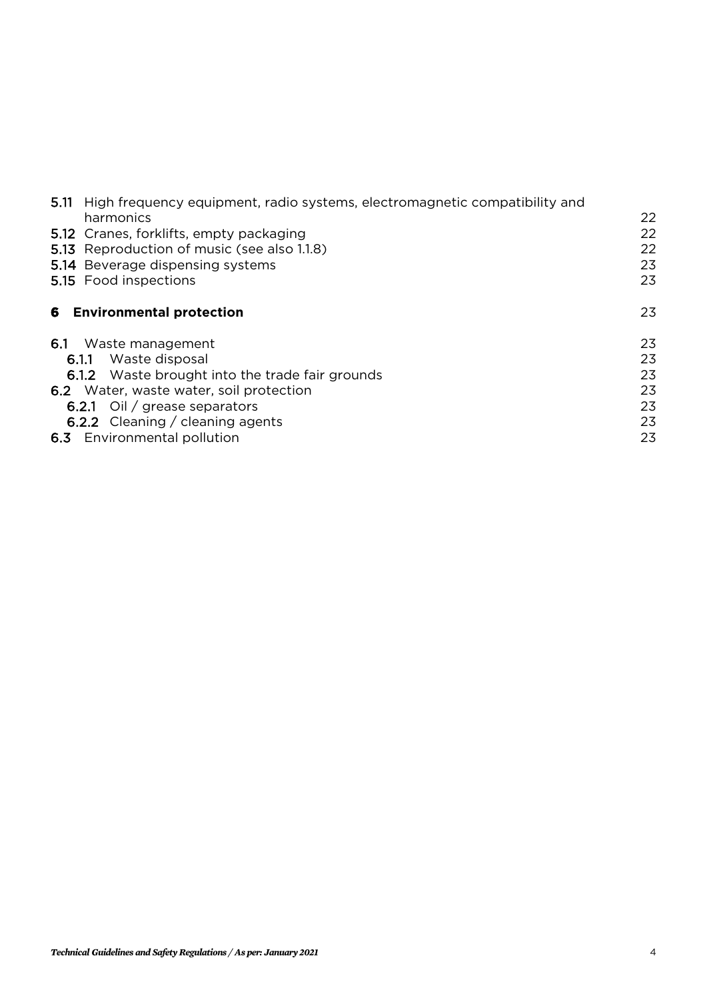| 5.11 High frequency equipment, radio systems, electromagnetic compatibility and |    |
|---------------------------------------------------------------------------------|----|
| harmonics                                                                       | 22 |
| 5.12 Cranes, forklifts, empty packaging                                         | 22 |
| <b>5.13</b> Reproduction of music (see also 1.1.8)                              | 22 |
| 5.14 Beverage dispensing systems                                                | 23 |
| 5.15 Food inspections                                                           | 23 |
| <b>6</b> Environmental protection                                               | 23 |
| 6.1 Waste management                                                            | 23 |
| Waste disposal<br>6.1.1                                                         | 23 |
| 6.1.2 Waste brought into the trade fair grounds                                 | 23 |
| 6.2 Water, waste water, soil protection                                         | 23 |
| <b>6.2.1</b> Oil / grease separators                                            | 23 |
| <b>6.2.2</b> Cleaning / cleaning agents                                         | 23 |
| 6.3 Environmental pollution                                                     | 23 |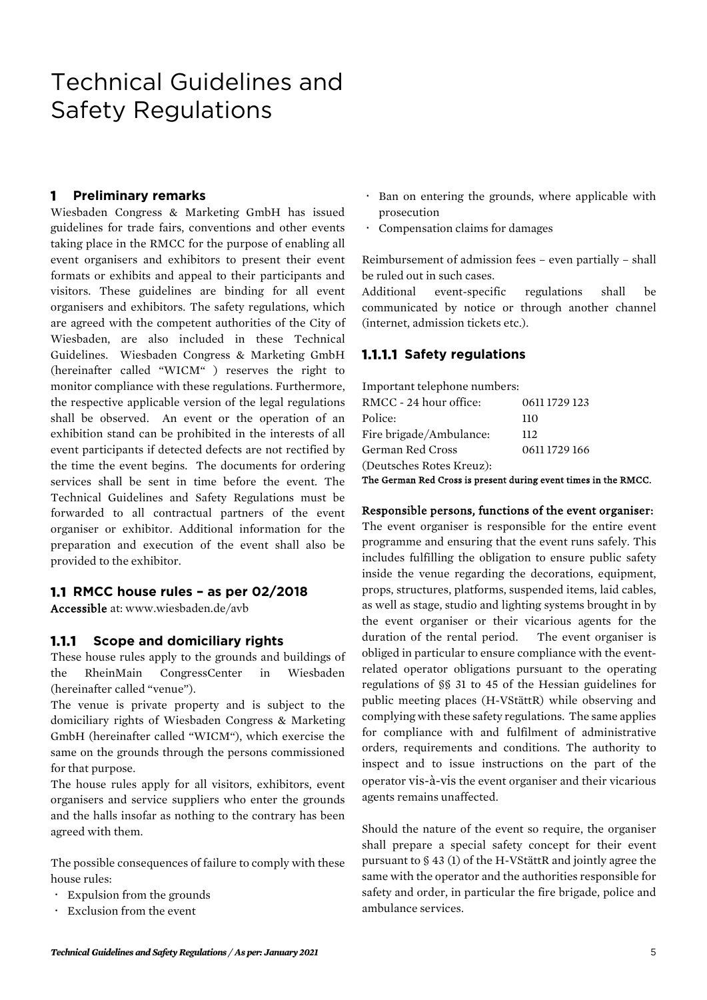# Technical Guidelines and Safety Regulations

#### **1 Preliminary remarks**

Wiesbaden Congress & Marketing GmbH has issued guidelines for trade fairs, conventions and other events taking place in the RMCC for the purpose of enabling all event organisers and exhibitors to present their event formats or exhibits and appeal to their participants and visitors. These guidelines are binding for all event organisers and exhibitors. The safety regulations, which are agreed with the competent authorities of the City of Wiesbaden, are also included in these Technical Guidelines. Wiesbaden Congress & Marketing GmbH (hereinafter called "WICM" ) reserves the right to monitor compliance with these regulations. Furthermore, the respective applicable version of the legal regulations shall be observed. An event or the operation of an exhibition stand can be prohibited in the interests of all event participants if detected defects are not rectified by the time the event begins. The documents for ordering services shall be sent in time before the event. The Technical Guidelines and Safety Regulations must be forwarded to all contractual partners of the event organiser or exhibitor. Additional information for the preparation and execution of the event shall also be provided to the exhibitor.

#### **1.1 RMCC house rules – as per 02/2018**

Accessible at[: www.wiesbaden.de/avb](http://www.wiesbaden.de/avb)

#### **1.1.1 Scope and domiciliary rights**

These house rules apply to the grounds and buildings of the RheinMain CongressCenter in Wiesbaden (hereinafter called "venue").

The venue is private property and is subject to the domiciliary rights of Wiesbaden Congress & Marketing GmbH (hereinafter called "WICM"), which exercise the same on the grounds through the persons commissioned for that purpose.

The house rules apply for all visitors, exhibitors, event organisers and service suppliers who enter the grounds and the halls insofar as nothing to the contrary has been agreed with them.

The possible consequences of failure to comply with these house rules:

- Expulsion from the grounds
- Exclusion from the event
- Ban on entering the grounds, where applicable with prosecution
- Compensation claims for damages

Reimbursement of admission fees – even partially – shall be ruled out in such cases.

Additional event-specific regulations shall be communicated by notice or through another channel (internet, admission tickets etc.).

#### **1.1.1.1 Safety regulations**

| Important telephone numbers: |               |
|------------------------------|---------------|
| RMCC - 24 hour office:       | 0611 1729 123 |
| Police:                      | 110           |
| Fire brigade/Ambulance:      | 112           |
| German Red Cross             | 0611 1729 166 |
| (Deutsches Rotes Kreuz):     |               |

The German Red Cross is present during event times in the RMCC.

#### Responsible persons, functions of the event organiser:

The event organiser is responsible for the entire event programme and ensuring that the event runs safely. This includes fulfilling the obligation to ensure public safety inside the venue regarding the decorations, equipment, props, structures, platforms, suspended items, laid cables, as well as stage, studio and lighting systems brought in by the event organiser or their vicarious agents for the duration of the rental period. The event organiser is obliged in particular to ensure compliance with the eventrelated operator obligations pursuant to the operating regulations of §§ 31 to 45 of the Hessian guidelines for public meeting places (H-VStättR) while observing and complying with these safety regulations. The same applies for compliance with and fulfilment of administrative orders, requirements and conditions. The authority to inspect and to issue instructions on the part of the operator vis-à-vis the event organiser and their vicarious agents remains unaffected.

Should the nature of the event so require, the organiser shall prepare a special safety concept for their event pursuant to § 43 (1) of the H-VStättR and jointly agree the same with the operator and the authorities responsible for safety and order, in particular the fire brigade, police and ambulance services.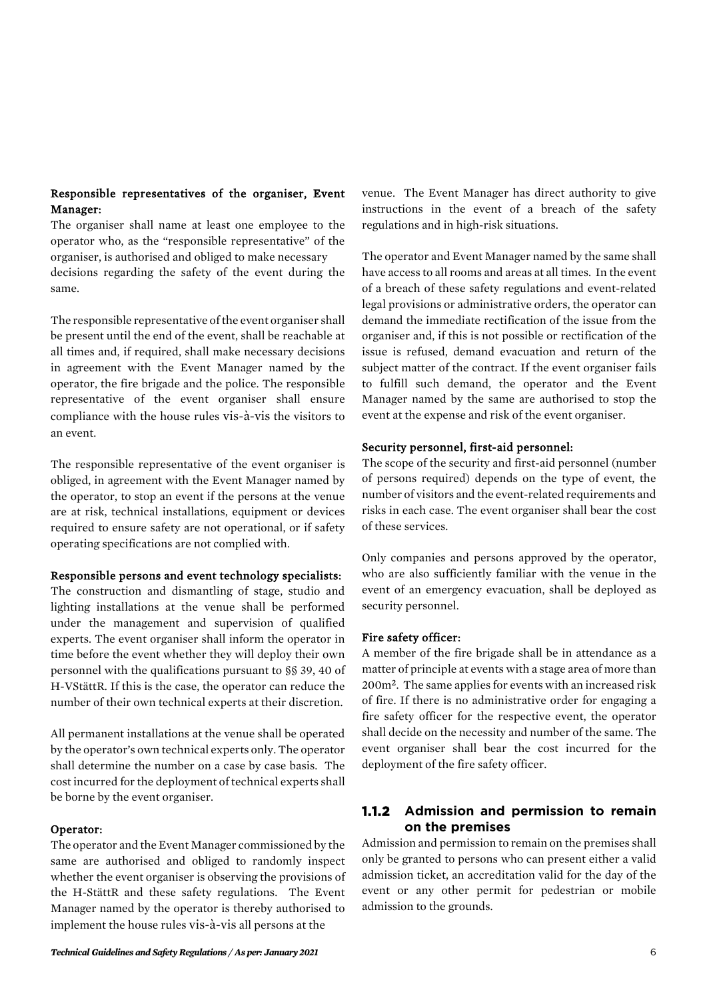#### Responsible representatives of the organiser, Event Manager:

The organiser shall name at least one employee to the operator who, as the "responsible representative" of the organiser, is authorised and obliged to make necessary decisions regarding the safety of the event during the same.

The responsible representative of the event organiser shall be present until the end of the event, shall be reachable at all times and, if required, shall make necessary decisions in agreement with the Event Manager named by the operator, the fire brigade and the police. The responsible representative of the event organiser shall ensure compliance with the house rules vis-à-vis the visitors to an event.

The responsible representative of the event organiser is obliged, in agreement with the Event Manager named by the operator, to stop an event if the persons at the venue are at risk, technical installations, equipment or devices required to ensure safety are not operational, or if safety operating specifications are not complied with.

#### Responsible persons and event technology specialists:

The construction and dismantling of stage, studio and lighting installations at the venue shall be performed under the management and supervision of qualified experts. The event organiser shall inform the operator in time before the event whether they will deploy their own personnel with the qualifications pursuant to §§ 39, 40 of H-VStättR. If this is the case, the operator can reduce the number of their own technical experts at their discretion.

All permanent installations at the venue shall be operated by the operator's own technical experts only. The operator shall determine the number on a case by case basis. The cost incurred for the deployment of technical experts shall be borne by the event organiser.

#### Operator:

The operator and the Event Manager commissioned by the same are authorised and obliged to randomly inspect whether the event organiser is observing the provisions of the H-StättR and these safety regulations. The Event Manager named by the operator is thereby authorised to implement the house rules vis-à-vis all persons at the

venue. The Event Manager has direct authority to give instructions in the event of a breach of the safety regulations and in high-risk situations.

The operator and Event Manager named by the same shall have access to all rooms and areas at all times. In the event of a breach of these safety regulations and event-related legal provisions or administrative orders, the operator can demand the immediate rectification of the issue from the organiser and, if this is not possible or rectification of the issue is refused, demand evacuation and return of the subject matter of the contract. If the event organiser fails to fulfill such demand, the operator and the Event Manager named by the same are authorised to stop the event at the expense and risk of the event organiser.

#### Security personnel, first-aid personnel:

The scope of the security and first-aid personnel (number of persons required) depends on the type of event, the number of visitors and the event-related requirements and risks in each case. The event organiser shall bear the cost of these services.

Only companies and persons approved by the operator, who are also sufficiently familiar with the venue in the event of an emergency evacuation, shall be deployed as security personnel.

#### Fire safety officer:

A member of the fire brigade shall be in attendance as a matter of principle at events with a stage area of more than 200m². The same applies for events with an increased risk of fire. If there is no administrative order for engaging a fire safety officer for the respective event, the operator shall decide on the necessity and number of the same. The event organiser shall bear the cost incurred for the deployment of the fire safety officer.

# **1.1.2 Admission and permission to remain on the premises**

Admission and permission to remain on the premises shall only be granted to persons who can present either a valid admission ticket, an accreditation valid for the day of the event or any other permit for pedestrian or mobile admission to the grounds.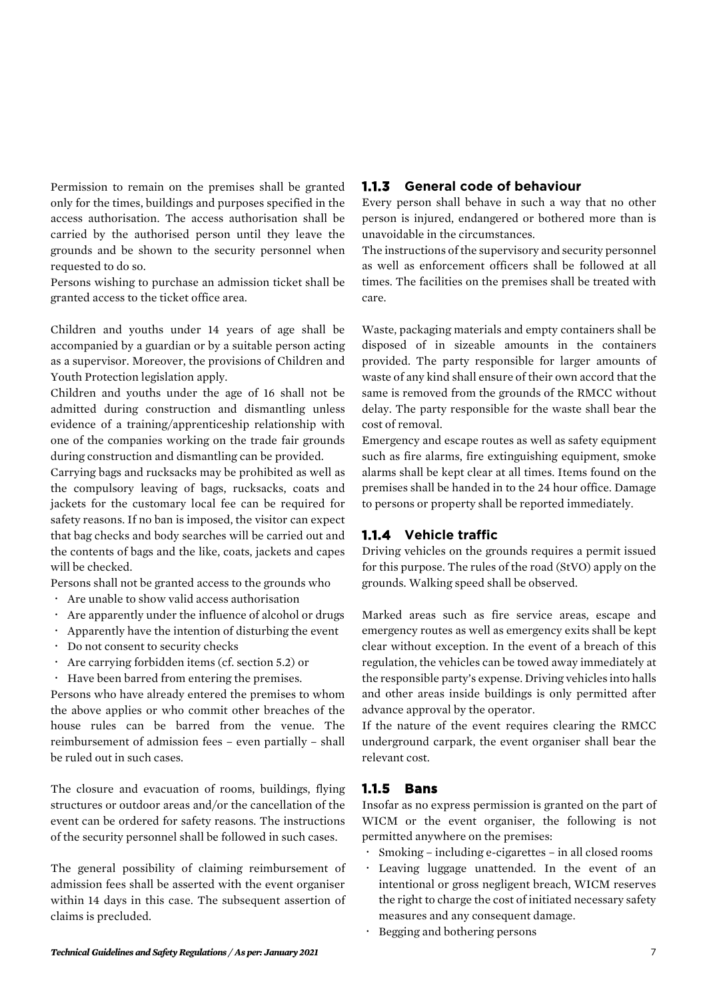Permission to remain on the premises shall be granted only for the times, buildings and purposes specified in the access authorisation. The access authorisation shall be carried by the authorised person until they leave the grounds and be shown to the security personnel when requested to do so.

Persons wishing to purchase an admission ticket shall be granted access to the ticket office area.

Children and youths under 14 years of age shall be accompanied by a guardian or by a suitable person acting as a supervisor. Moreover, the provisions of Children and Youth Protection legislation apply.

Children and youths under the age of 16 shall not be admitted during construction and dismantling unless evidence of a training/apprenticeship relationship with one of the companies working on the trade fair grounds during construction and dismantling can be provided.

Carrying bags and rucksacks may be prohibited as well as the compulsory leaving of bags, rucksacks, coats and jackets for the customary local fee can be required for safety reasons. If no ban is imposed, the visitor can expect that bag checks and body searches will be carried out and the contents of bags and the like, coats, jackets and capes will be checked.

Persons shall not be granted access to the grounds who

- Are unable to show valid access authorisation
- Are apparently under the influence of alcohol or drugs
- Apparently have the intention of disturbing the event
- Do not consent to security checks
- Are carrying forbidden items (cf. section 5.2) or
- Have been barred from entering the premises.

Persons who have already entered the premises to whom the above applies or who commit other breaches of the house rules can be barred from the venue. The reimbursement of admission fees – even partially – shall be ruled out in such cases.

The closure and evacuation of rooms, buildings, flying structures or outdoor areas and/or the cancellation of the event can be ordered for safety reasons. The instructions of the security personnel shall be followed in such cases.

The general possibility of claiming reimbursement of admission fees shall be asserted with the event organiser within 14 days in this case. The subsequent assertion of claims is precluded.

#### **1.1.3 General code of behaviour**

Every person shall behave in such a way that no other person is injured, endangered or bothered more than is unavoidable in the circumstances.

The instructions of the supervisory and security personnel as well as enforcement officers shall be followed at all times. The facilities on the premises shall be treated with care.

Waste, packaging materials and empty containers shall be disposed of in sizeable amounts in the containers provided. The party responsible for larger amounts of waste of any kind shall ensure of their own accord that the same is removed from the grounds of the RMCC without delay. The party responsible for the waste shall bear the cost of removal.

Emergency and escape routes as well as safety equipment such as fire alarms, fire extinguishing equipment, smoke alarms shall be kept clear at all times. Items found on the premises shall be handed in to the 24 hour office. Damage to persons or property shall be reported immediately.

#### **1.1.4 Vehicle traffic**

Driving vehicles on the grounds requires a permit issued for this purpose. The rules of the road (StVO) apply on the grounds. Walking speed shall be observed.

Marked areas such as fire service areas, escape and emergency routes as well as emergency exits shall be kept clear without exception. In the event of a breach of this regulation, the vehicles can be towed away immediately at the responsible party's expense. Driving vehicles into halls and other areas inside buildings is only permitted after advance approval by the operator.

If the nature of the event requires clearing the RMCC underground carpark, the event organiser shall bear the relevant cost.

# **1.1.5 Bans**

Insofar as no express permission is granted on the part of WICM or the event organiser, the following is not permitted anywhere on the premises:

- Smoking including e-cigarettes in all closed rooms
- Leaving luggage unattended. In the event of an intentional or gross negligent breach, WICM reserves the right to charge the cost of initiated necessary safety measures and any consequent damage.
- Begging and bothering persons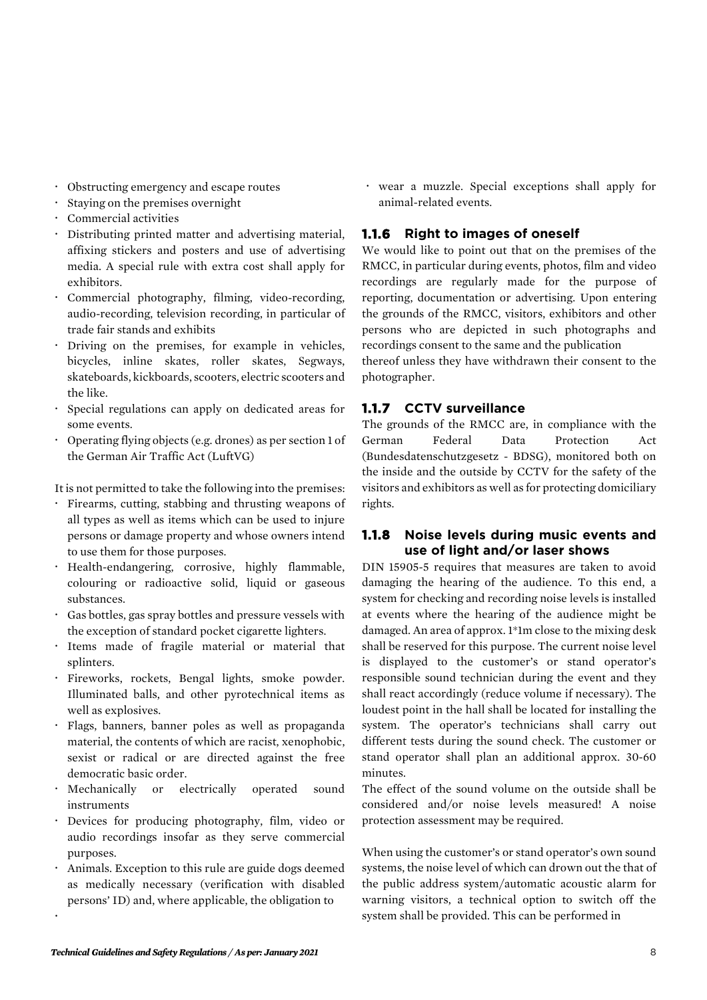- Obstructing emergency and escape routes
- Staying on the premises overnight
- Commercial activities
- Distributing printed matter and advertising material, affixing stickers and posters and use of advertising media. A special rule with extra cost shall apply for exhibitors.
- Commercial photography, filming, video-recording, audio-recording, television recording, in particular of trade fair stands and exhibits
- Driving on the premises, for example in vehicles, bicycles, inline skates, roller skates, Segways, skateboards, kickboards, scooters, electric scooters and the like.
- Special regulations can apply on dedicated areas for some events.
- Operating flying objects (e.g. drones) as per section 1 of the German Air Traffic Act (LuftVG)

It is not permitted to take the following into the premises:

- Firearms, cutting, stabbing and thrusting weapons of all types as well as items which can be used to injure persons or damage property and whose owners intend to use them for those purposes.
- Health-endangering, corrosive, highly flammable, colouring or radioactive solid, liquid or gaseous substances.
- Gas bottles, gas spray bottles and pressure vessels with the exception of standard pocket cigarette lighters.
- Items made of fragile material or material that splinters.
- Fireworks, rockets, Bengal lights, smoke powder. Illuminated balls, and other pyrotechnical items as well as explosives.
- Flags, banners, banner poles as well as propaganda material, the contents of which are racist, xenophobic, sexist or radical or are directed against the free democratic basic order.
- Mechanically or electrically operated sound instruments
- Devices for producing photography, film, video or audio recordings insofar as they serve commercial purposes.
- Animals. Exception to this rule are guide dogs deemed as medically necessary (verification with disabled persons' ID) and, where applicable, the obligation to

 wear a muzzle. Special exceptions shall apply for animal-related events.

# **1.1.6 Right to images of oneself**

We would like to point out that on the premises of the RMCC, in particular during events, photos, film and video recordings are regularly made for the purpose of reporting, documentation or advertising. Upon entering the grounds of the RMCC, visitors, exhibitors and other persons who are depicted in such photographs and recordings consent to the same and the publication

thereof unless they have withdrawn their consent to the photographer.

# **1.1.7 CCTV surveillance**

The grounds of the RMCC are, in compliance with the German Federal Data Protection Act (Bundesdatenschutzgesetz - BDSG), monitored both on the inside and the outside by CCTV for the safety of the visitors and exhibitors as well as for protecting domiciliary rights.

#### **1.1.8 Noise levels during music events and use of light and/or laser shows**

DIN 15905-5 requires that measures are taken to avoid damaging the hearing of the audience. To this end, a system for checking and recording noise levels is installed at events where the hearing of the audience might be damaged. An area of approx. 1\*1m close to the mixing desk shall be reserved for this purpose. The current noise level is displayed to the customer's or stand operator's responsible sound technician during the event and they shall react accordingly (reduce volume if necessary). The loudest point in the hall shall be located for installing the system. The operator's technicians shall carry out different tests during the sound check. The customer or stand operator shall plan an additional approx. 30-60 minutes.

The effect of the sound volume on the outside shall be considered and/or noise levels measured! A noise protection assessment may be required.

When using the customer's or stand operator's own sound systems, the noise level of which can drown out the that of the public address system/automatic acoustic alarm for warning visitors, a technical option to switch off the system shall be provided. This can be performed in

 $\ddot{\phantom{0}}$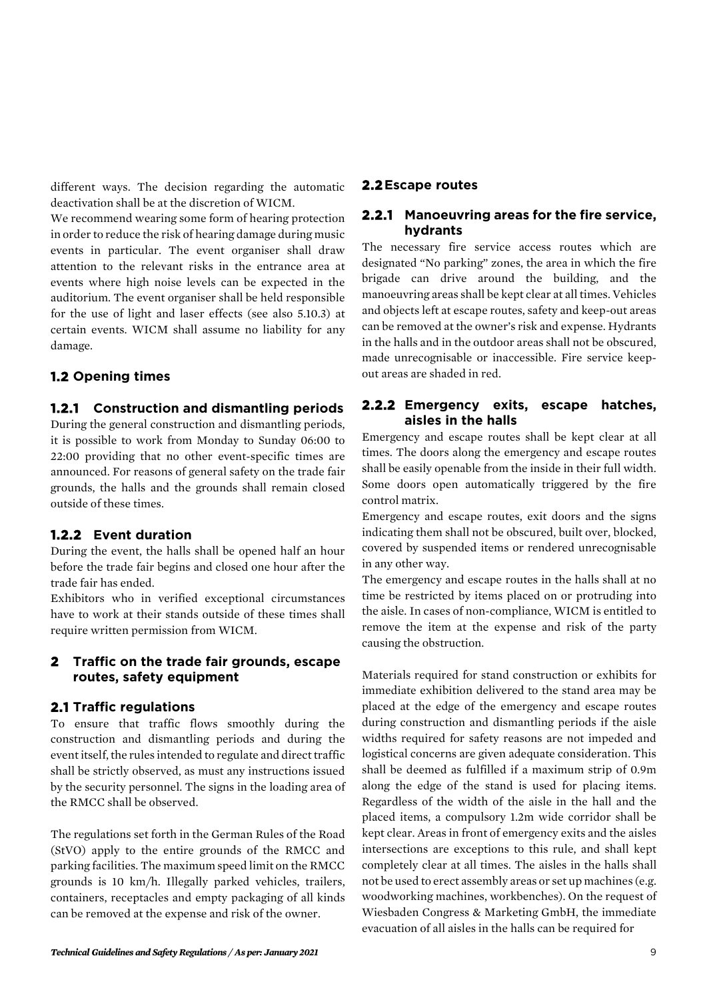different ways. The decision regarding the automatic deactivation shall be at the discretion of WICM.

We recommend wearing some form of hearing protection in order to reduce the risk of hearing damage during music events in particular. The event organiser shall draw attention to the relevant risks in the entrance area at events where high noise levels can be expected in the auditorium. The event organiser shall be held responsible for the use of light and laser effects (see also 5.10.3) at certain events. WICM shall assume no liability for any damage.

# **1.2 Opening times**

#### **1.2.1 Construction and dismantling periods**

During the general construction and dismantling periods, it is possible to work from Monday to Sunday 06:00 to 22:00 providing that no other event-specific times are announced. For reasons of general safety on the trade fair grounds, the halls and the grounds shall remain closed outside of these times.

# **1.2.2 Event duration**

During the event, the halls shall be opened half an hour before the trade fair begins and closed one hour after the trade fair has ended.

Exhibitors who in verified exceptional circumstances have to work at their stands outside of these times shall require written permission from WICM.

#### **2 Traffic on the trade fair grounds, escape routes, safety equipment**

#### **2.1 Traffic regulations**

To ensure that traffic flows smoothly during the construction and dismantling periods and during the event itself, the rules intended to regulate and direct traffic shall be strictly observed, as must any instructions issued by the security personnel. The signs in the loading area of the RMCC shall be observed.

The regulations set forth in the German Rules of the Road (StVO) apply to the entire grounds of the RMCC and parking facilities. The maximum speed limit on the RMCC grounds is 10 km/h. Illegally parked vehicles, trailers, containers, receptacles and empty packaging of all kinds can be removed at the expense and risk of the owner.

#### **2.2Escape routes**

#### **2.2.1 Manoeuvring areas for the fire service, hydrants**

The necessary fire service access routes which are designated "No parking" zones, the area in which the fire brigade can drive around the building, and the manoeuvring areas shall be kept clear at all times. Vehicles and objects left at escape routes, safety and keep-out areas can be removed at the owner's risk and expense. Hydrants in the halls and in the outdoor areas shall not be obscured, made unrecognisable or inaccessible. Fire service keepout areas are shaded in red.

#### **2.2.2 Emergency exits, escape hatches, aisles in the halls**

Emergency and escape routes shall be kept clear at all times. The doors along the emergency and escape routes shall be easily openable from the inside in their full width. Some doors open automatically triggered by the fire control matrix.

Emergency and escape routes, exit doors and the signs indicating them shall not be obscured, built over, blocked, covered by suspended items or rendered unrecognisable in any other way.

The emergency and escape routes in the halls shall at no time be restricted by items placed on or protruding into the aisle. In cases of non-compliance, WICM is entitled to remove the item at the expense and risk of the party causing the obstruction.

Materials required for stand construction or exhibits for immediate exhibition delivered to the stand area may be placed at the edge of the emergency and escape routes during construction and dismantling periods if the aisle widths required for safety reasons are not impeded and logistical concerns are given adequate consideration. This shall be deemed as fulfilled if a maximum strip of 0.9m along the edge of the stand is used for placing items. Regardless of the width of the aisle in the hall and the placed items, a compulsory 1.2m wide corridor shall be kept clear. Areas in front of emergency exits and the aisles intersections are exceptions to this rule, and shall kept completely clear at all times. The aisles in the halls shall not be used to erect assembly areas or set up machines (e.g. woodworking machines, workbenches). On the request of Wiesbaden Congress & Marketing GmbH, the immediate evacuation of all aisles in the halls can be required for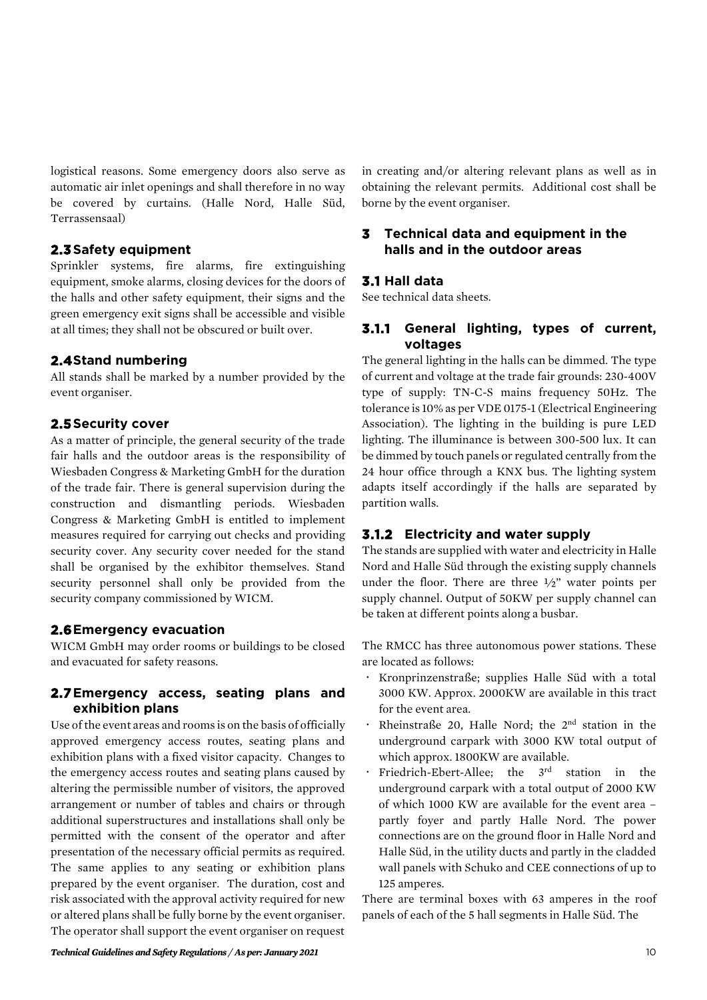logistical reasons. Some emergency doors also serve as automatic air inlet openings and shall therefore in no way be covered by curtains. (Halle Nord, Halle Süd, Terrassensaal)

#### **2.3Safety equipment**

Sprinkler systems, fire alarms, fire extinguishing equipment, smoke alarms, closing devices for the doors of the halls and other safety equipment, their signs and the green emergency exit signs shall be accessible and visible at all times; they shall not be obscured or built over.

#### **2.4Stand numbering**

All stands shall be marked by a number provided by the event organiser.

# **2.5Security cover**

As a matter of principle, the general security of the trade fair halls and the outdoor areas is the responsibility of Wiesbaden Congress & Marketing GmbH for the duration of the trade fair. There is general supervision during the construction and dismantling periods. Wiesbaden Congress & Marketing GmbH is entitled to implement measures required for carrying out checks and providing security cover. Any security cover needed for the stand shall be organised by the exhibitor themselves. Stand security personnel shall only be provided from the security company commissioned by WICM.

#### **2.6Emergency evacuation**

WICM GmbH may order rooms or buildings to be closed and evacuated for safety reasons.

# **2.7Emergency access, seating plans and exhibition plans**

Use of the event areas and rooms is on the basis of officially approved emergency access routes, seating plans and exhibition plans with a fixed visitor capacity. Changes to the emergency access routes and seating plans caused by altering the permissible number of visitors, the approved arrangement or number of tables and chairs or through additional superstructures and installations shall only be permitted with the consent of the operator and after presentation of the necessary official permits as required. The same applies to any seating or exhibition plans prepared by the event organiser. The duration, cost and risk associated with the approval activity required for new or altered plans shall be fully borne by the event organiser. The operator shall support the event organiser on request in creating and/or altering relevant plans as well as in obtaining the relevant permits. Additional cost shall be borne by the event organiser.

#### **3 Technical data and equipment in the halls and in the outdoor areas**

#### **3.1 Hall data**

See technical data sheets.

#### **3.1.1 General lighting, types of current, voltages**

The general lighting in the halls can be dimmed. The type of current and voltage at the trade fair grounds: 230-400V type of supply: TN-C-S mains frequency 50Hz. The tolerance is 10% as per VDE 0175-1(Electrical Engineering Association). The lighting in the building is pure LED lighting. The illuminance is between 300-500 lux. It can be dimmed by touch panels or regulated centrally from the 24 hour office through a KNX bus. The lighting system adapts itself accordingly if the halls are separated by partition walls.

# **3.1.2 Electricity and water supply**

The stands are supplied with water and electricity in Halle Nord and Halle Süd through the existing supply channels under the floor. There are three  $\frac{1}{2}$ " water points per supply channel. Output of 50KW per supply channel can be taken at different points along a busbar.

The RMCC has three autonomous power stations. These are located as follows:

- Kronprinzenstraße; supplies Halle Süd with a total 3000 KW. Approx. 2000KW are available in this tract for the event area.
- Rheinstraße 20, Halle Nord; the 2nd station in the underground carpark with 3000 KW total output of which approx. 1800KW are available.
- Friedrich-Ebert-Allee; the 3<sup>rd</sup> station in the underground carpark with a total output of 2000 KW of which 1000 KW are available for the event area – partly foyer and partly Halle Nord. The power connections are on the ground floor in Halle Nord and Halle Süd, in the utility ducts and partly in the cladded wall panels with Schuko and CEE connections of up to 125 amperes.

There are terminal boxes with 63 amperes in the roof panels of each of the 5 hall segments in Halle Süd. The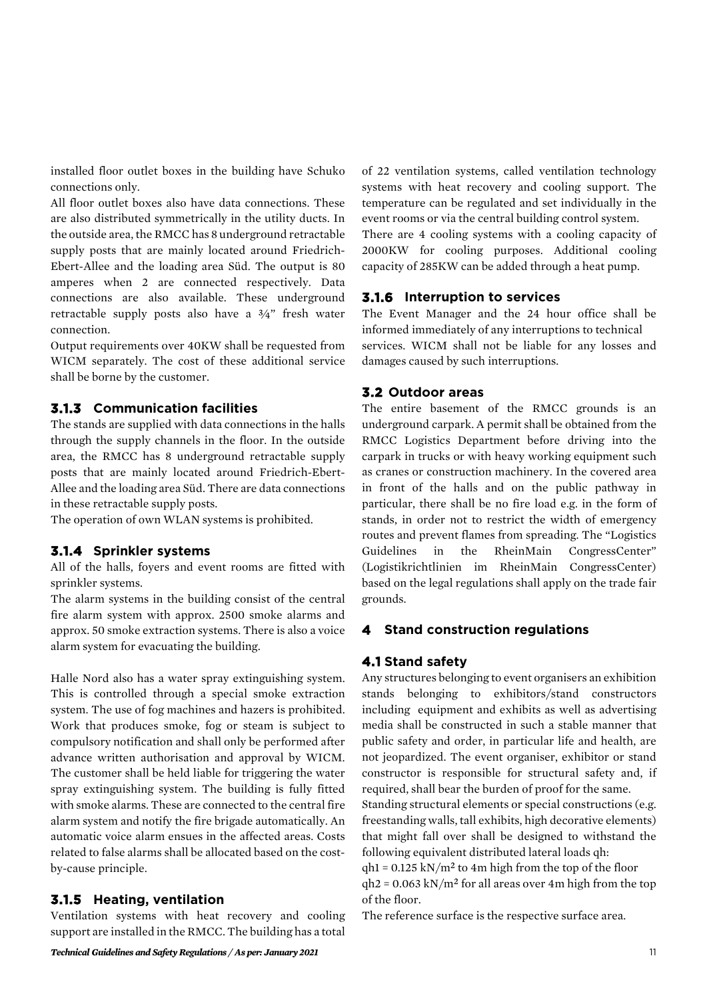installed floor outlet boxes in the building have Schuko connections only.

All floor outlet boxes also have data connections. These are also distributed symmetrically in the utility ducts. In the outside area, the RMCC has 8 underground retractable supply posts that are mainly located around Friedrich-Ebert-Allee and the loading area Süd. The output is 80 amperes when 2 are connected respectively. Data connections are also available. These underground retractable supply posts also have a  $\frac{3}{4}$ " fresh water connection.

Output requirements over 40KW shall be requested from WICM separately. The cost of these additional service shall be borne by the customer.

#### **3.1.3 Communication facilities**

The stands are supplied with data connections in the halls through the supply channels in the floor. In the outside area, the RMCC has 8 underground retractable supply posts that are mainly located around Friedrich-Ebert-Allee and the loading area Süd. There are data connections in these retractable supply posts.

The operation of own WLAN systems is prohibited.

#### **3.1.4 Sprinkler systems**

All of the halls, foyers and event rooms are fitted with sprinkler systems.

The alarm systems in the building consist of the central fire alarm system with approx. 2500 smoke alarms and approx. 50 smoke extraction systems. There is also a voice alarm system for evacuating the building.

Halle Nord also has a water spray extinguishing system. This is controlled through a special smoke extraction system. The use of fog machines and hazers is prohibited. Work that produces smoke, fog or steam is subject to compulsory notification and shall only be performed after advance written authorisation and approval by WICM. The customer shall be held liable for triggering the water spray extinguishing system. The building is fully fitted with smoke alarms. These are connected to the central fire alarm system and notify the fire brigade automatically. An automatic voice alarm ensues in the affected areas. Costs related to false alarms shall be allocated based on the costby-cause principle.

#### **3.1.5 Heating, ventilation**

Ventilation systems with heat recovery and cooling support are installed in the RMCC.The building has a total of 22 ventilation systems, called ventilation technology systems with heat recovery and cooling support. The temperature can be regulated and set individually in the event rooms or via the central building control system.

There are 4 cooling systems with a cooling capacity of 2000KW for cooling purposes. Additional cooling capacity of 285KW can be added through a heat pump.

#### **3.1.6 Interruption to services**

The Event Manager and the 24 hour office shall be informed immediately of any interruptions to technical services. WICM shall not be liable for any losses and damages caused by such interruptions.

#### **3.2 Outdoor areas**

The entire basement of the RMCC grounds is an underground carpark. A permit shall be obtained from the RMCC Logistics Department before driving into the carpark in trucks or with heavy working equipment such as cranes or construction machinery. In the covered area in front of the halls and on the public pathway in particular, there shall be no fire load e.g. in the form of stands, in order not to restrict the width of emergency routes and prevent flames from spreading. The "Logistics Guidelines in the RheinMain CongressCenter" (Logistikrichtlinien im RheinMain CongressCenter) based on the legal regulations shall apply on the trade fair grounds.

#### **4 Stand construction regulations**

#### **4.1 Stand safety**

Any structures belonging to event organisers an exhibition stands belonging to exhibitors/stand constructors including equipment and exhibits as well as advertising media shall be constructed in such a stable manner that public safety and order, in particular life and health, are not jeopardized. The event organiser, exhibitor or stand constructor is responsible for structural safety and, if required, shall bear the burden of proof for the same. Standing structural elements or special constructions (e.g. freestanding walls, tall exhibits, high decorative elements) that might fall over shall be designed to withstand the following equivalent distributed lateral loads qh:  $gh1 = 0.125 \text{ kN/m}^2$  to 4m high from the top of the floor  $qh2 = 0.063$  kN/m<sup>2</sup> for all areas over 4m high from the top of the floor.

The reference surface is the respective surface area.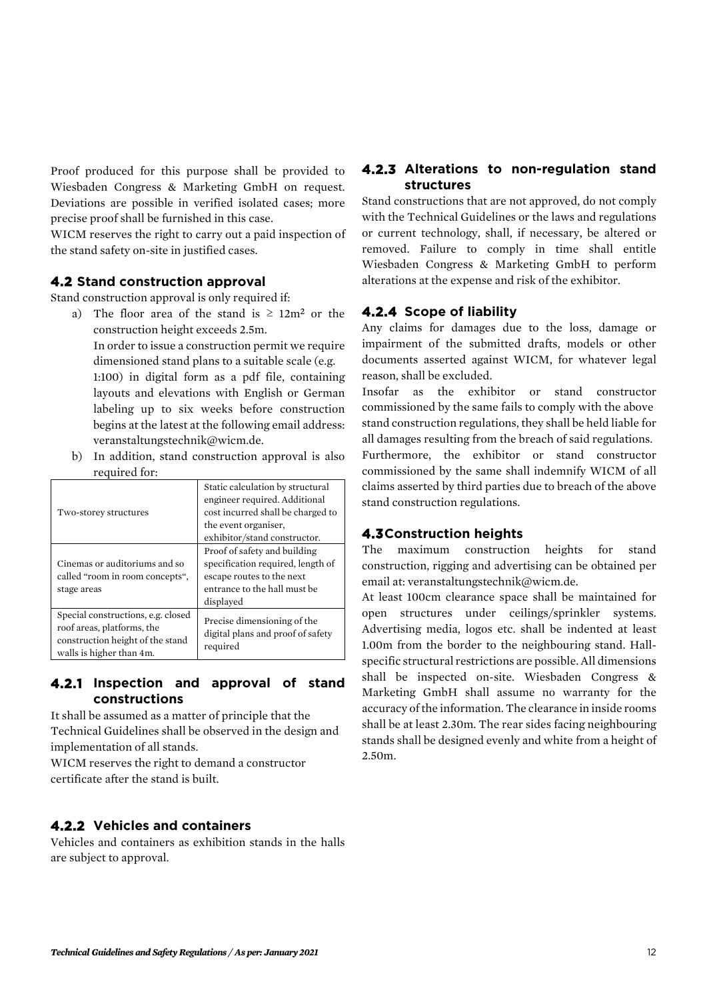Proof produced for this purpose shall be provided to Wiesbaden Congress & Marketing GmbH on request. Deviations are possible in verified isolated cases; more precise proof shall be furnished in this case.

WICM reserves the right to carry out a paid inspection of the stand safety on-site in justified cases.

#### **4.2 Stand construction approval**

Stand construction approval is only required if:

- a) The floor area of the stand is  $\geq 12m^2$  or the construction height exceeds 2.5m. In order to issue a construction permit we require dimensioned stand plans to a suitable scale (e.g. 1:100) in digital form as a pdf file, containing layouts and elevations with English or German labeling up to six weeks before construction begins at the latest at the following email address: [veranstaltungstechnik@wicm.de.](mailto:veranstaltungstechnik@wicm.de)
- b) In addition, stand construction approval is also required for:

| Two-storey structures                                                                                                            | Static calculation by structural<br>engineer required. Additional<br>cost incurred shall be charged to<br>the event organiser,<br>exhibitor/stand constructor. |
|----------------------------------------------------------------------------------------------------------------------------------|----------------------------------------------------------------------------------------------------------------------------------------------------------------|
| Cinemas or auditoriums and so<br>called "room in room concepts",<br>stage areas                                                  | Proof of safety and building<br>specification required, length of<br>escape routes to the next<br>entrance to the hall must be<br>displayed                    |
| Special constructions, e.g. closed<br>roof areas, platforms, the<br>construction height of the stand<br>walls is higher than 4m. | Precise dimensioning of the<br>digital plans and proof of safety<br>required                                                                                   |

#### **4.2.1 Inspection and approval of stand constructions**

It shall be assumed as a matter of principle that the Technical Guidelines shall be observed in the design and implementation of all stands.

WICM reserves the right to demand a constructor certificate after the stand is built.

#### **4.2.2 Vehicles and containers**

Vehicles and containers as exhibition stands in the halls are subject to approval.

#### **4.2.3 Alterations to non-regulation stand structures**

Stand constructions that are not approved, do not comply with the Technical Guidelines or the laws and regulations or current technology, shall, if necessary, be altered or removed. Failure to comply in time shall entitle Wiesbaden Congress & Marketing GmbH to perform alterations at the expense and risk of the exhibitor.

#### **4.2.4 Scope of liability**

Any claims for damages due to the loss, damage or impairment of the submitted drafts, models or other documents asserted against WICM, for whatever legal reason, shall be excluded.

Insofar as the exhibitor or stand constructor commissioned by the same fails to comply with the above stand construction regulations, they shall be held liable for all damages resulting from the breach of said regulations. Furthermore, the exhibitor or stand constructor commissioned by the same shall indemnify WICM of all claims asserted by third parties due to breach of the above stand construction regulations.

#### **4.3Construction heights**

The maximum construction heights for stand construction, rigging and advertising can be obtained per email at: veranstaltungstechnik@wicm.de.

At least 100cm clearance space shall be maintained for open structures under ceilings/sprinkler systems. Advertising media, logos etc. shall be indented at least 1.00m from the border to the neighbouring stand. Hallspecific structural restrictions are possible. All dimensions shall be inspected on-site. Wiesbaden Congress & Marketing GmbH shall assume no warranty for the accuracy of the information. The clearance in inside rooms shall be at least 2.30m. The rear sides facing neighbouring stands shall be designed evenly and white from a height of 2.50m.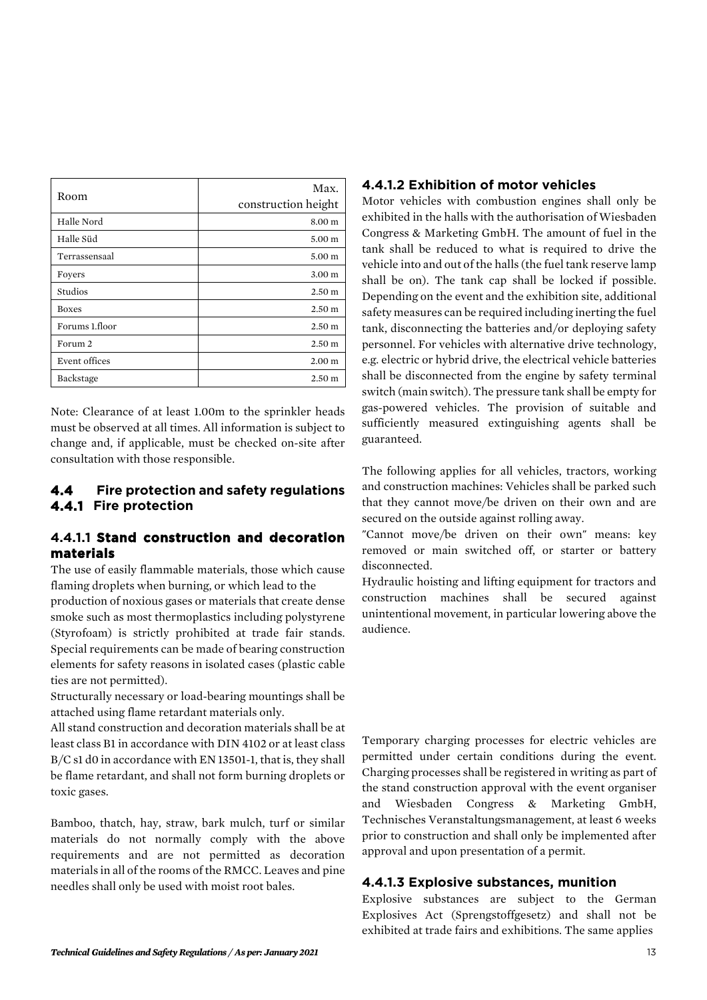| Room                 | Max.<br>construction height |
|----------------------|-----------------------------|
| Halle Nord           | 8.00 m                      |
| Halle Süd            | 5.00 <sub>m</sub>           |
| Terrassensaal        | 5.00 <sub>m</sub>           |
| Foyers               | 3.00 <sub>m</sub>           |
| Studios              | 2.50 <sub>m</sub>           |
| <b>Boxes</b>         | 2.50 m                      |
| Forums 1.floor       | 2.50 m                      |
| Forum 2              | 2.50 <sub>m</sub>           |
| <b>Event offices</b> | 2.00 <sub>m</sub>           |
| Backstage            | 2.50 <sub>m</sub>           |

Note: Clearance of at least 1.00m to the sprinkler heads must be observed at all times. All information is subject to change and, if applicable, must be checked on-site after consultation with those responsible.

# **4.4 Fire protection and safety regulations 4.4.1 Fire protection**

#### **4.4.1.1 Stand construction and decoration materials**

The use of easily flammable materials, those which cause flaming droplets when burning, or which lead to the

production of noxious gases or materials that create dense smoke such as most thermoplastics including polystyrene (Styrofoam) is strictly prohibited at trade fair stands. Special requirements can be made of bearing construction elements for safety reasons in isolated cases (plastic cable ties are not permitted).

Structurally necessary or load-bearing mountings shall be attached using flame retardant materials only.

All stand construction and decoration materials shall be at least class B1 in accordance with DIN 4102 or at least class B/C s1 d0 in accordance with EN 13501-1, that is, they shall be flame retardant, and shall not form burning droplets or toxic gases.

Bamboo, thatch, hay, straw, bark mulch, turf or similar materials do not normally comply with the above requirements and are not permitted as decoration materials in all of the rooms of the RMCC. Leaves and pine needles shall only be used with moist root bales.

#### **4.4.1.2 Exhibition of motor vehicles**

Motor vehicles with combustion engines shall only be exhibited in the halls with the authorisation of Wiesbaden Congress & Marketing GmbH. The amount of fuel in the tank shall be reduced to what is required to drive the vehicle into and out of the halls (the fuel tank reserve lamp shall be on). The tank cap shall be locked if possible. Depending on the event and the exhibition site, additional safety measures can be required including inerting the fuel tank, disconnecting the batteries and/or deploying safety personnel. For vehicles with alternative drive technology, e.g. electric or hybrid drive, the electrical vehicle batteries shall be disconnected from the engine by safety terminal switch (main switch). The pressure tank shall be empty for gas-powered vehicles. The provision of suitable and sufficiently measured extinguishing agents shall be guaranteed.

The following applies for all vehicles, tractors, working and construction machines: Vehicles shall be parked such that they cannot move/be driven on their own and are secured on the outside against rolling away.

"Cannot move/be driven on their own" means: key removed or main switched off, or starter or battery disconnected.

Hydraulic hoisting and lifting equipment for tractors and construction machines shall be secured against unintentional movement, in particular lowering above the audience.

Temporary charging processes for electric vehicles are permitted under certain conditions during the event. Charging processes shall be registered in writing as part of the stand construction approval with the event organiser and Wiesbaden Congress & Marketing GmbH, Technisches Veranstaltungsmanagement, at least 6 weeks prior to construction and shall only be implemented after approval and upon presentation of a permit.

#### **4.4.1.3 Explosive substances, munition**

Explosive substances are subject to the German Explosives Act (Sprengstoffgesetz) and shall not be exhibited at trade fairs and exhibitions. The same applies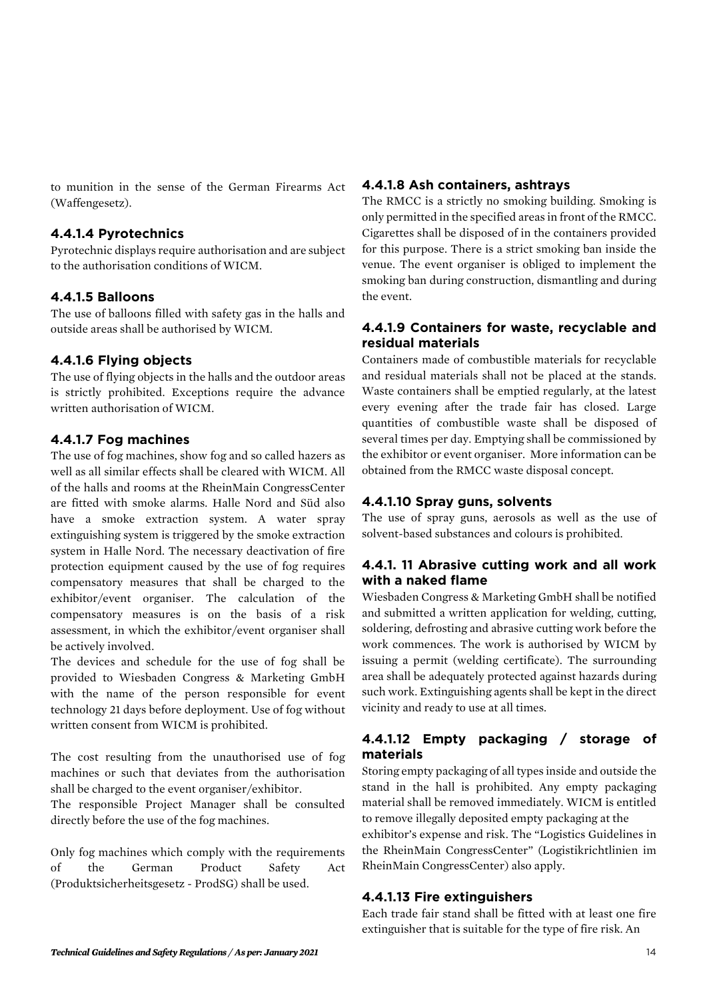to munition in the sense of the German Firearms Act (Waffengesetz).

#### **4.4.1.4 Pyrotechnics**

Pyrotechnic displays require authorisation and are subject to the authorisation conditions of WICM.

#### **4.4.1.5 Balloons**

The use of balloons filled with safety gas in the halls and outside areas shall be authorised by WICM.

#### **4.4.1.6 Flying objects**

The use of flying objects in the halls and the outdoor areas is strictly prohibited. Exceptions require the advance written authorisation of WICM.

#### **4.4.1.7 Fog machines**

The use of fog machines, show fog and so called hazers as well as all similar effects shall be cleared with WICM. All of the halls and rooms at the RheinMain CongressCenter are fitted with smoke alarms. Halle Nord and Süd also have a smoke extraction system. A water spray extinguishing system is triggered by the smoke extraction system in Halle Nord. The necessary deactivation of fire protection equipment caused by the use of fog requires compensatory measures that shall be charged to the exhibitor/event organiser. The calculation of the compensatory measures is on the basis of a risk assessment, in which the exhibitor/event organiser shall be actively involved.

The devices and schedule for the use of fog shall be provided to Wiesbaden Congress & Marketing GmbH with the name of the person responsible for event technology 21 days before deployment. Use of fog without written consent from WICM is prohibited.

The cost resulting from the unauthorised use of fog machines or such that deviates from the authorisation shall be charged to the event organiser/exhibitor.

The responsible Project Manager shall be consulted directly before the use of the fog machines.

Only fog machines which comply with the requirements of the German Product Safety Act (Produktsicherheitsgesetz - ProdSG) shall be used.

#### **4.4.1.8 Ash containers, ashtrays**

The RMCC is a strictly no smoking building. Smoking is only permitted in the specified areas in front of the RMCC. Cigarettes shall be disposed of in the containers provided for this purpose. There is a strict smoking ban inside the venue. The event organiser is obliged to implement the smoking ban during construction, dismantling and during the event.

#### **4.4.1.9 Containers for waste, recyclable and residual materials**

Containers made of combustible materials for recyclable and residual materials shall not be placed at the stands. Waste containers shall be emptied regularly, at the latest every evening after the trade fair has closed. Large quantities of combustible waste shall be disposed of several times per day. Emptying shall be commissioned by the exhibitor or event organiser. More information can be obtained from the RMCC waste disposal concept.

#### **4.4.1.10 Spray guns, solvents**

The use of spray guns, aerosols as well as the use of solvent-based substances and colours is prohibited.

#### **4.4.1. 11 Abrasive cutting work and all work with a naked flame**

Wiesbaden Congress & Marketing GmbH shall be notified and submitted a written application for welding, cutting, soldering, defrosting and abrasive cutting work before the work commences. The work is authorised by WICM by issuing a permit (welding certificate). The surrounding area shall be adequately protected against hazards during such work. Extinguishing agents shall be kept in the direct vicinity and ready to use at all times.

# **4.4.1.12 Empty packaging / storage of materials**

Storing empty packaging of all types inside and outside the stand in the hall is prohibited. Any empty packaging material shall be removed immediately. WICM is entitled to remove illegally deposited empty packaging at the exhibitor's expense and risk. The "Logistics Guidelines in the RheinMain CongressCenter" (Logistikrichtlinien im RheinMain CongressCenter) also apply.

#### **4.4.1.13 Fire extinguishers**

Each trade fair stand shall be fitted with at least one fire extinguisher that is suitable for the type of fire risk. An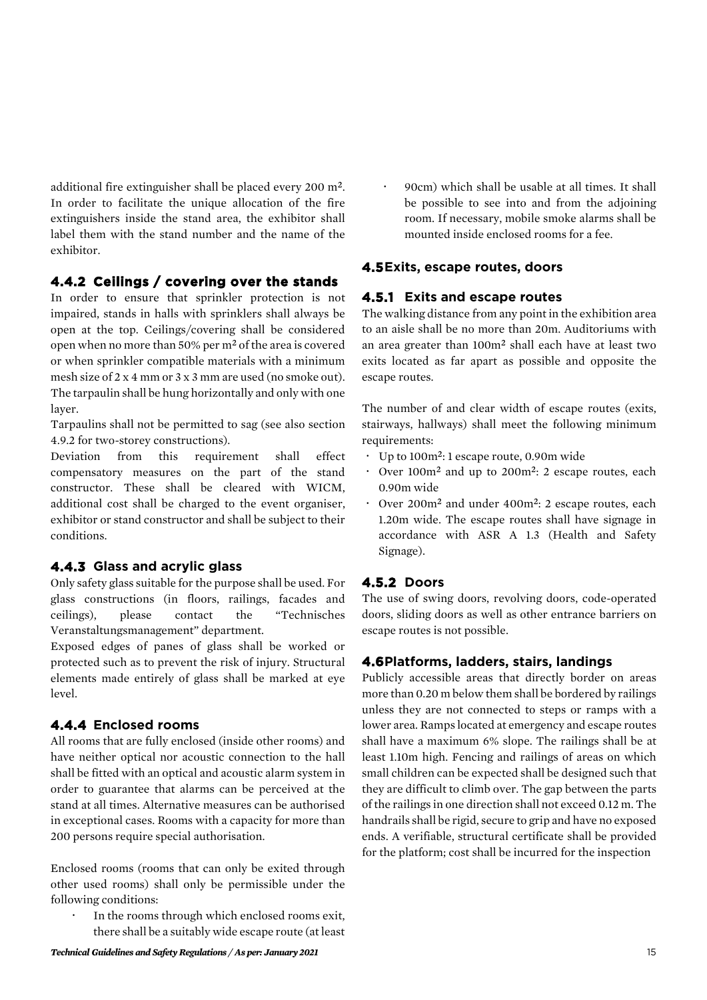additional fire extinguisher shall be placed every 200 m². In order to facilitate the unique allocation of the fire extinguishers inside the stand area, the exhibitor shall label them with the stand number and the name of the exhibitor.

# **4.4.2 Ceilings / covering over the stands**

In order to ensure that sprinkler protection is not impaired, stands in halls with sprinklers shall always be open at the top. Ceilings/covering shall be considered open when no more than 50% per m² of the area is covered or when sprinkler compatible materials with a minimum mesh size of 2 x 4 mm or 3 x 3 mm are used (no smoke out). The tarpaulin shall be hung horizontally and only with one layer.

Tarpaulins shall not be permitted to sag (see also section 4.9.2 for two-storey constructions).

Deviation from this requirement shall effect compensatory measures on the part of the stand constructor. These shall be cleared with WICM, additional cost shall be charged to the event organiser, exhibitor or stand constructor and shall be subject to their conditions.

#### **4.4.3 Glass and acrylic glass**

Only safety glass suitable for the purpose shall be used. For glass constructions (in floors, railings, facades and ceilings), please contact the "Technisches Veranstaltungsmanagement" department.

Exposed edges of panes of glass shall be worked or protected such as to prevent the risk of injury. Structural elements made entirely of glass shall be marked at eye level.

#### **4.4.4 Enclosed rooms**

All rooms that are fully enclosed (inside other rooms) and have neither optical nor acoustic connection to the hall shall be fitted with an optical and acoustic alarm system in order to guarantee that alarms can be perceived at the stand at all times. Alternative measures can be authorised in exceptional cases. Rooms with a capacity for more than 200 persons require special authorisation.

Enclosed rooms (rooms that can only be exited through other used rooms) shall only be permissible under the following conditions:

 In the rooms through which enclosed rooms exit, there shall be a suitably wide escape route (at least  90cm) which shall be usable at all times. It shall be possible to see into and from the adjoining room. If necessary, mobile smoke alarms shall be mounted inside enclosed rooms for a fee.

#### **4.5Exits, escape routes, doors**

#### **4.5.1 Exits and escape routes**

The walking distance from any point in the exhibition area to an aisle shall be no more than 20m. Auditoriums with an area greater than 100m² shall each have at least two exits located as far apart as possible and opposite the escape routes.

The number of and clear width of escape routes (exits, stairways, hallways) shall meet the following minimum requirements:

- Up to 100m²: 1 escape route, 0.90m wide
- Over 100m² and up to 200m²: 2 escape routes, each 0.90m wide
- Over 200m² and under 400m²: 2 escape routes, each 1.20m wide. The escape routes shall have signage in accordance with ASR A 1.3 (Health and Safety Signage).

# **4.5.2 Doors**

The use of swing doors, revolving doors, code-operated doors, sliding doors as well as other entrance barriers on escape routes is not possible.

#### **4.6Platforms, ladders, stairs, landings**

Publicly accessible areas that directly border on areas more than 0.20 m below them shall be bordered by railings unless they are not connected to steps or ramps with a lower area. Ramps located at emergency and escape routes shall have a maximum 6% slope. The railings shall be at least 1.10m high. Fencing and railings of areas on which small children can be expected shall be designed such that they are difficult to climb over. The gap between the parts of the railings in one direction shall not exceed 0.12 m. The handrails shall be rigid, secure to grip and have no exposed ends. A verifiable, structural certificate shall be provided for the platform; cost shall be incurred for the inspection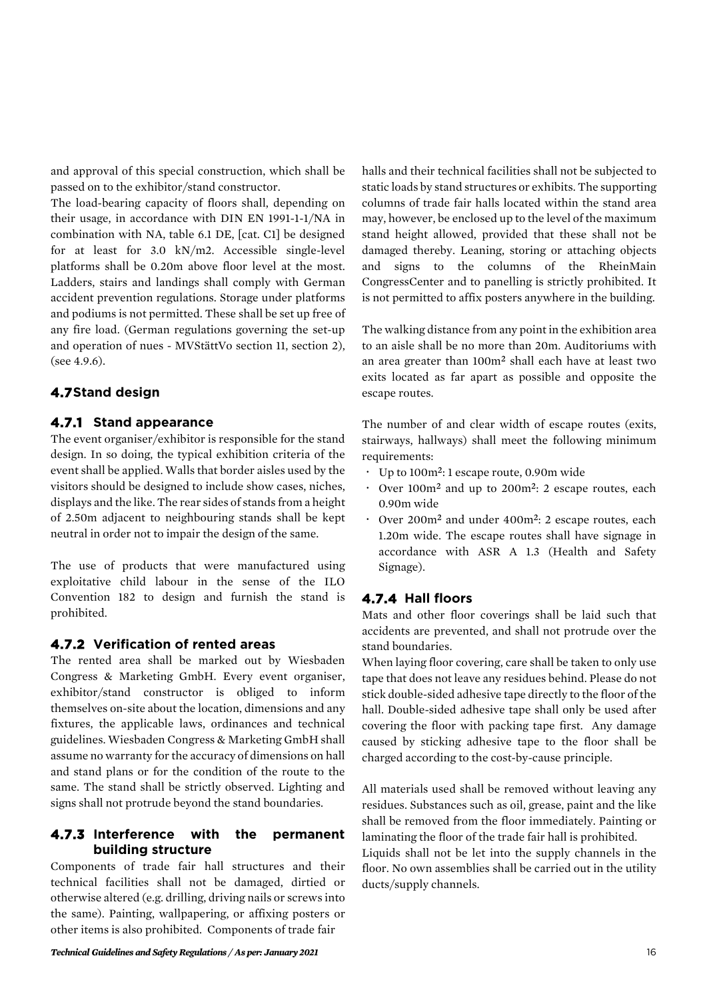and approval of this special construction, which shall be passed on to the exhibitor/stand constructor.

The load-bearing capacity of floors shall, depending on their usage, in accordance with DIN EN 1991-1-1/NA in combination with NA, table 6.1 DE, [cat. C1] be designed for at least for 3.0 kN/m2. Accessible single-level platforms shall be 0.20m above floor level at the most. Ladders, stairs and landings shall comply with German accident prevention regulations. Storage under platforms and podiums is not permitted. These shall be set up free of any fire load. (German regulations governing the set-up and operation of nues - MVStättVo section 11, section 2), (see 4.9.6).

# **4.7Stand design**

#### **4.7.1 Stand appearance**

The event organiser/exhibitor is responsible for the stand design. In so doing, the typical exhibition criteria of the event shall be applied. Walls that border aisles used by the visitors should be designed to include show cases, niches, displays and the like. The rear sides of stands from a height of 2.50m adjacent to neighbouring stands shall be kept neutral in order not to impair the design of the same.

The use of products that were manufactured using exploitative child labour in the sense of the ILO Convention 182 to design and furnish the stand is prohibited.

#### **4.7.2 Verification of rented areas**

The rented area shall be marked out by Wiesbaden Congress & Marketing GmbH. Every event organiser, exhibitor/stand constructor is obliged to inform themselves on-site about the location, dimensions and any fixtures, the applicable laws, ordinances and technical guidelines. Wiesbaden Congress & Marketing GmbH shall assume no warranty for the accuracy of dimensions on hall and stand plans or for the condition of the route to the same. The stand shall be strictly observed. Lighting and signs shall not protrude beyond the stand boundaries.

#### **4.7.3 Interference with the permanent building structure**

Components of trade fair hall structures and their technical facilities shall not be damaged, dirtied or otherwise altered (e.g. drilling, driving nails or screws into the same). Painting, wallpapering, or affixing posters or other items is also prohibited. Components of trade fair

halls and their technical facilities shall not be subjected to static loads by stand structures or exhibits. The supporting columns of trade fair halls located within the stand area may, however, be enclosed up to the level of the maximum stand height allowed, provided that these shall not be damaged thereby. Leaning, storing or attaching objects and signs to the columns of the RheinMain CongressCenter and to panelling is strictly prohibited. It is not permitted to affix posters anywhere in the building.

The walking distance from any point in the exhibition area to an aisle shall be no more than 20m. Auditoriums with an area greater than 100m² shall each have at least two exits located as far apart as possible and opposite the escape routes.

The number of and clear width of escape routes (exits, stairways, hallways) shall meet the following minimum requirements:

- Up to 100m²: 1 escape route, 0.90m wide
- Over 100m² and up to 200m²: 2 escape routes, each 0.90m wide
- Over 200m² and under 400m²: 2 escape routes, each 1.20m wide. The escape routes shall have signage in accordance with ASR A 1.3 (Health and Safety Signage).

# **4.7.4 Hall floors**

Mats and other floor coverings shall be laid such that accidents are prevented, and shall not protrude over the stand boundaries.

When laying floor covering, care shall be taken to only use tape that does not leave any residues behind. Please do not stick double-sided adhesive tape directly to the floor of the hall. Double-sided adhesive tape shall only be used after covering the floor with packing tape first. Any damage caused by sticking adhesive tape to the floor shall be charged according to the cost-by-cause principle.

All materials used shall be removed without leaving any residues. Substances such as oil, grease, paint and the like shall be removed from the floor immediately. Painting or laminating the floor of the trade fair hall is prohibited.

Liquids shall not be let into the supply channels in the floor. No own assemblies shall be carried out in the utility ducts/supply channels.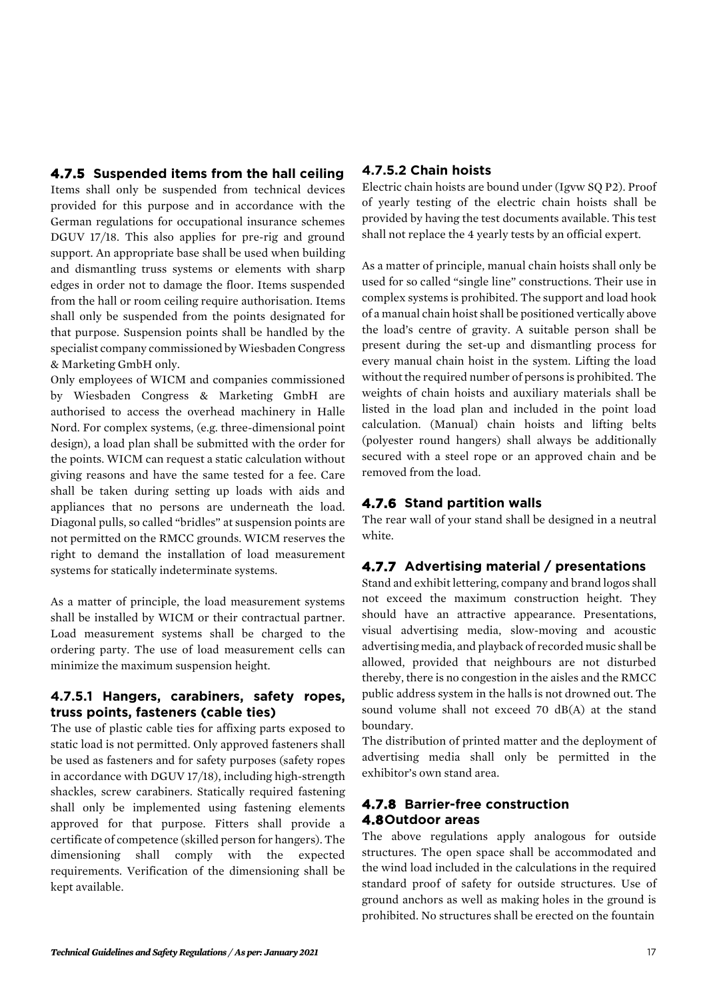# **4.7.5 Suspended items from the hall ceiling**

Items shall only be suspended from technical devices provided for this purpose and in accordance with the German regulations for occupational insurance schemes DGUV 17/18. This also applies for pre-rig and ground support. An appropriate base shall be used when building and dismantling truss systems or elements with sharp edges in order not to damage the floor. Items suspended from the hall or room ceiling require authorisation. Items shall only be suspended from the points designated for that purpose. Suspension points shall be handled by the specialist company commissioned by Wiesbaden Congress & Marketing GmbH only.

Only employees of WICM and companies commissioned by Wiesbaden Congress & Marketing GmbH are authorised to access the overhead machinery in Halle Nord. For complex systems, (e.g. three-dimensional point design), a load plan shall be submitted with the order for the points. WICM can request a static calculation without giving reasons and have the same tested for a fee. Care shall be taken during setting up loads with aids and appliances that no persons are underneath the load. Diagonal pulls, so called "bridles" at suspension points are not permitted on the RMCC grounds. WICM reserves the right to demand the installation of load measurement systems for statically indeterminate systems.

As a matter of principle, the load measurement systems shall be installed by WICM or their contractual partner. Load measurement systems shall be charged to the ordering party. The use of load measurement cells can minimize the maximum suspension height.

#### **4.7.5.1 Hangers, carabiners, safety ropes, truss points, fasteners (cable ties)**

The use of plastic cable ties for affixing parts exposed to static load is not permitted. Only approved fasteners shall be used as fasteners and for safety purposes (safety ropes in accordance with DGUV 17/18), including high-strength shackles, screw carabiners. Statically required fastening shall only be implemented using fastening elements approved for that purpose. Fitters shall provide a certificate of competence (skilled person for hangers). The dimensioning shall comply with the expected requirements. Verification of the dimensioning shall be kept available.

# **4.7.5.2 Chain hoists**

Electric chain hoists are bound under (Igvw SQ P2). Proof of yearly testing of the electric chain hoists shall be provided by having the test documents available. This test shall not replace the 4 yearly tests by an official expert.

As a matter of principle, manual chain hoists shall only be used for so called "single line" constructions. Their use in complex systems is prohibited. The support and load hook of a manual chain hoist shall be positioned vertically above the load's centre of gravity. A suitable person shall be present during the set-up and dismantling process for every manual chain hoist in the system. Lifting the load without the required number of persons is prohibited. The weights of chain hoists and auxiliary materials shall be listed in the load plan and included in the point load calculation. (Manual) chain hoists and lifting belts (polyester round hangers) shall always be additionally secured with a steel rope or an approved chain and be removed from the load.

# **4.7.6 Stand partition walls**

The rear wall of your stand shall be designed in a neutral white.

# **4.7.7 Advertising material / presentations**

Stand and exhibit lettering, company and brand logos shall not exceed the maximum construction height. They should have an attractive appearance. Presentations, visual advertising media, slow-moving and acoustic advertising media, and playback of recorded music shall be allowed, provided that neighbours are not disturbed thereby, there is no congestion in the aisles and the RMCC public address system in the halls is not drowned out. The sound volume shall not exceed 70 dB(A) at the stand boundary.

The distribution of printed matter and the deployment of advertising media shall only be permitted in the exhibitor's own stand area.

# **4.7.8 Barrier-free construction 4.8Outdoor areas**

The above regulations apply analogous for outside structures. The open space shall be accommodated and the wind load included in the calculations in the required standard proof of safety for outside structures. Use of ground anchors as well as making holes in the ground is prohibited. No structures shall be erected on the fountain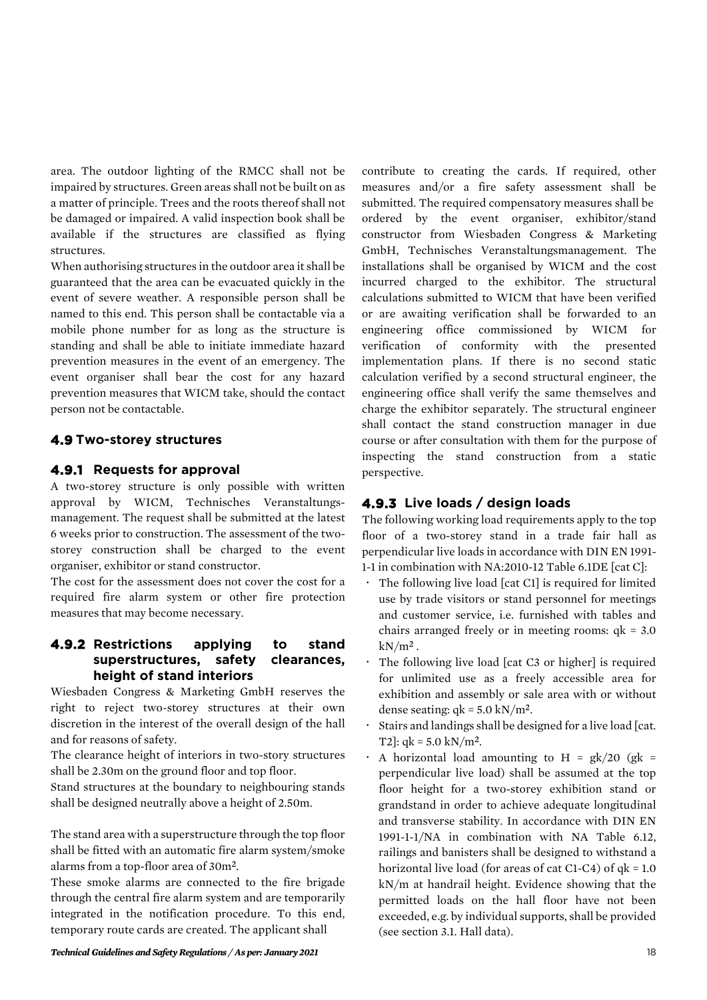area. The outdoor lighting of the RMCC shall not be impaired by structures. Green areas shall not be built on as a matter of principle. Trees and the roots thereof shall not be damaged or impaired. A valid inspection book shall be available if the structures are classified as flying structures.

When authorising structures in the outdoor area it shall be guaranteed that the area can be evacuated quickly in the event of severe weather. A responsible person shall be named to this end. This person shall be contactable via a mobile phone number for as long as the structure is standing and shall be able to initiate immediate hazard prevention measures in the event of an emergency. The event organiser shall bear the cost for any hazard prevention measures that WICM take, should the contact person not be contactable.

# **4.9 Two-storey structures**

# **4.9.1 Requests for approval**

A two-storey structure is only possible with written approval by WICM, Technisches Veranstaltungsmanagement. The request shall be submitted at the latest 6 weeks prior to construction. The assessment of the twostorey construction shall be charged to the event organiser, exhibitor or stand constructor.

The cost for the assessment does not cover the cost for a required fire alarm system or other fire protection measures that may become necessary.

#### **4.9.2 Restrictions applying to stand superstructures, safety clearances, height of stand interiors**

Wiesbaden Congress & Marketing GmbH reserves the right to reject two-storey structures at their own discretion in the interest of the overall design of the hall and for reasons of safety.

The clearance height of interiors in two-story structures shall be 2.30m on the ground floor and top floor.

Stand structures at the boundary to neighbouring stands shall be designed neutrally above a height of 2.50m.

The stand area with a superstructure through the top floor shall be fitted with an automatic fire alarm system/smoke alarms from a top-floor area of 30m².

These smoke alarms are connected to the fire brigade through the central fire alarm system and are temporarily integrated in the notification procedure. To this end, temporary route cards are created. The applicant shall

*Technical Guidelines and Safety Regulations / As per: January 2021* 18

contribute to creating the cards. If required, other measures and/or a fire safety assessment shall be submitted. The required compensatory measures shall be ordered by the event organiser, exhibitor/stand constructor from Wiesbaden Congress & Marketing GmbH, Technisches Veranstaltungsmanagement. The installations shall be organised by WICM and the cost incurred charged to the exhibitor. The structural calculations submitted to WICM that have been verified or are awaiting verification shall be forwarded to an engineering office commissioned by WICM for verification of conformity with the presented implementation plans. If there is no second static calculation verified by a second structural engineer, the engineering office shall verify the same themselves and charge the exhibitor separately. The structural engineer shall contact the stand construction manager in due course or after consultation with them for the purpose of inspecting the stand construction from a static perspective.

# **4.9.3 Live loads / design loads**

The following working load requirements apply to the top floor of a two-storey stand in a trade fair hall as perpendicular live loads in accordance with DIN EN 1991- 1-1 in combination with NA:2010-12 Table 6.1DE [cat C]:

- The following live load [cat C1] is required for limited use by trade visitors or stand personnel for meetings and customer service, i.e. furnished with tables and chairs arranged freely or in meeting rooms:  $q_k = 3.0$  $kN/m^2$ .
- The following live load [cat C3 or higher] is required for unlimited use as a freely accessible area for exhibition and assembly or sale area with or without dense seating:  $qk = 5.0 \text{ kN/m}^2$ .
- Stairs and landings shall be designed for a live load [cat. T2]:  $qk = 5.0 \text{ kN/m}^2$ .
- A horizontal load amounting to H =  $gk/20$  (gk = perpendicular live load) shall be assumed at the top floor height for a two-storey exhibition stand or grandstand in order to achieve adequate longitudinal and transverse stability. In accordance with DIN EN 1991-1-1/NA in combination with NA Table 6.12, railings and banisters shall be designed to withstand a horizontal live load (for areas of cat C1-C4) of  $qk = 1.0$ kN/m at handrail height. Evidence showing that the permitted loads on the hall floor have not been exceeded, e.g. by individual supports, shall be provided (see section 3.1. Hall data).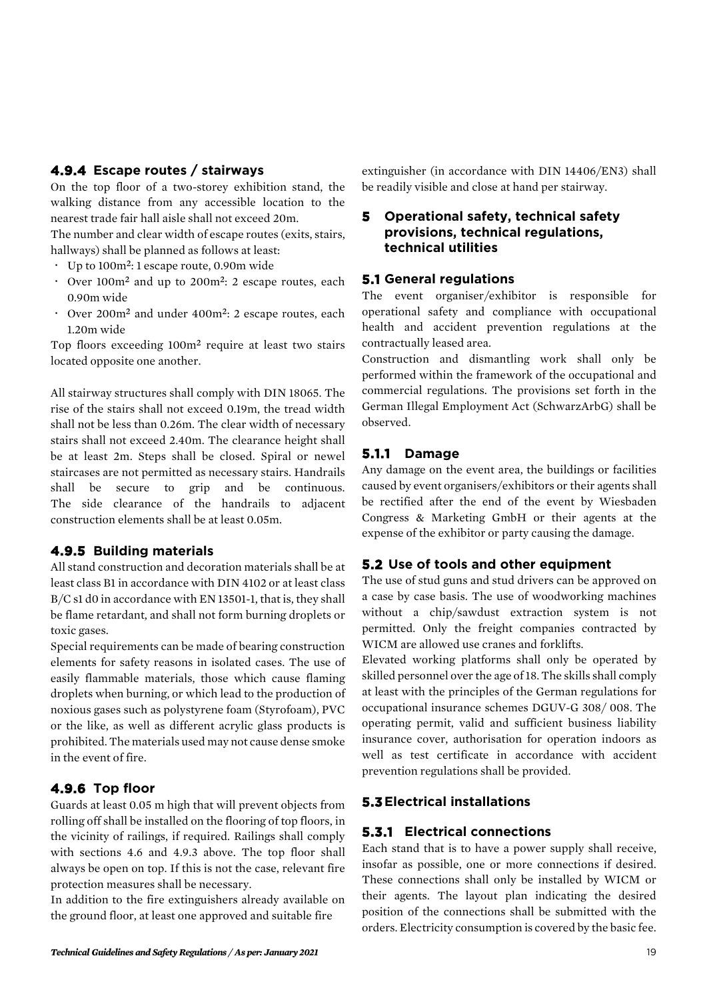# **4.9.4 Escape routes / stairways**

On the top floor of a two-storey exhibition stand, the walking distance from any accessible location to the nearest trade fair hall aisle shall not exceed 20m.

The number and clear width of escape routes (exits, stairs, hallways) shall be planned as follows at least:

- Up to 100m²: 1 escape route, 0.90m wide
- Over 100m² and up to 200m²: 2 escape routes, each 0.90m wide
- Over 200m² and under 400m²: 2 escape routes, each 1.20m wide

Top floors exceeding 100m² require at least two stairs located opposite one another.

All stairway structures shall comply with DIN 18065. The rise of the stairs shall not exceed 0.19m, the tread width shall not be less than 0.26m. The clear width of necessary stairs shall not exceed 2.40m. The clearance height shall be at least 2m. Steps shall be closed. Spiral or newel staircases are not permitted as necessary stairs. Handrails shall be secure to grip and be continuous. The side clearance of the handrails to adjacent construction elements shall be at least 0.05m.

# **4.9.5 Building materials**

All stand construction and decoration materials shall be at least class B1 in accordance with DIN 4102 or at least class B/C s1 d0 in accordance with EN 13501-1, that is, they shall be flame retardant, and shall not form burning droplets or toxic gases.

Special requirements can be made of bearing construction elements for safety reasons in isolated cases. The use of easily flammable materials, those which cause flaming droplets when burning, or which lead to the production of noxious gases such as polystyrene foam (Styrofoam), PVC or the like, as well as different acrylic glass products is prohibited. The materials used may not cause dense smoke in the event of fire.

# **4.9.6 Top floor**

Guards at least 0.05 m high that will prevent objects from rolling off shall be installed on the flooring of top floors, in the vicinity of railings, if required. Railings shall comply with sections 4.6 and 4.9.3 above. The top floor shall always be open on top. If this is not the case, relevant fire protection measures shall be necessary.

In addition to the fire extinguishers already available on the ground floor, at least one approved and suitable fire

extinguisher (in accordance with DIN 14406/EN3) shall be readily visible and close at hand per stairway.

# **5 Operational safety, technical safety provisions, technical regulations, technical utilities**

# **5.1 General regulations**

The event organiser/exhibitor is responsible for operational safety and compliance with occupational health and accident prevention regulations at the contractually leased area.

Construction and dismantling work shall only be performed within the framework of the occupational and commercial regulations. The provisions set forth in the German Illegal Employment Act (SchwarzArbG) shall be observed.

# **5.1.1 Damage**

Any damage on the event area, the buildings or facilities caused by event organisers/exhibitors or their agents shall be rectified after the end of the event by Wiesbaden Congress & Marketing GmbH or their agents at the expense of the exhibitor or party causing the damage.

# **5.2 Use of tools and other equipment**

The use of stud guns and stud drivers can be approved on a case by case basis. The use of woodworking machines without a chip/sawdust extraction system is not permitted. Only the freight companies contracted by WICM are allowed use cranes and forklifts.

Elevated working platforms shall only be operated by skilled personnel over the age of 18. The skills shall comply at least with the principles of the German regulations for occupational insurance schemes DGUV-G 308/ 008. The operating permit, valid and sufficient business liability insurance cover, authorisation for operation indoors as well as test certificate in accordance with accident prevention regulations shall be provided.

# **5.3Electrical installations**

# **5.3.1 Electrical connections**

Each stand that is to have a power supply shall receive, insofar as possible, one or more connections if desired. These connections shall only be installed by WICM or their agents. The layout plan indicating the desired position of the connections shall be submitted with the orders. Electricity consumption is covered by the basic fee.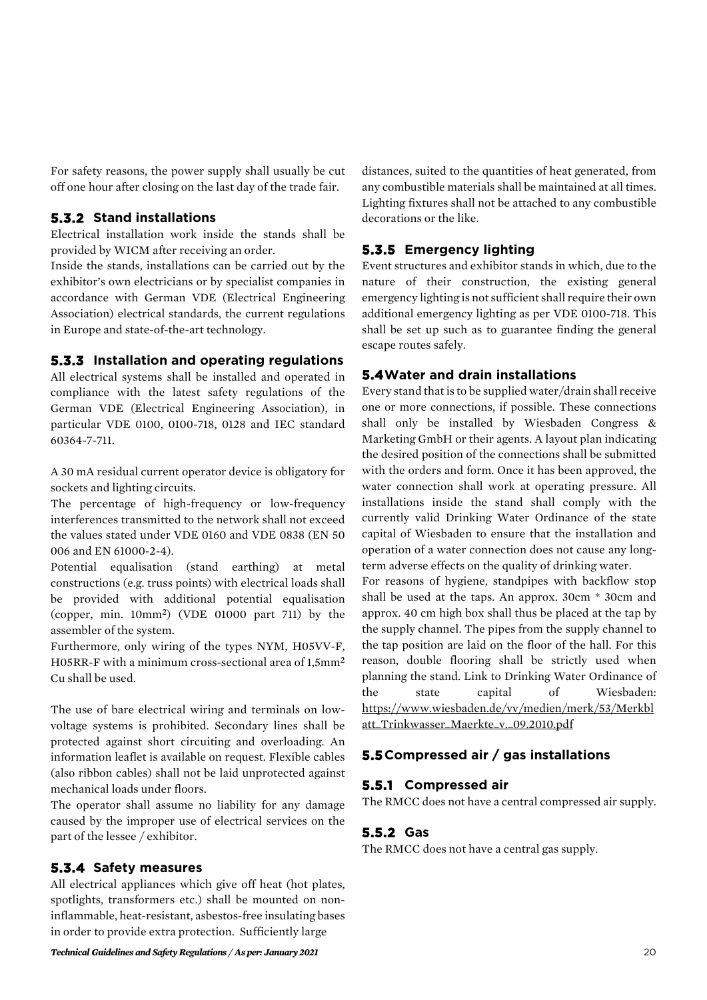For safety reasons, the power supply shall usually be cut off one hour after closing on the last day of the trade fair.

#### **5.3.2 Stand installations**

Electrical installation work inside the stands shall be provided by WICM after receiving an order.

Inside the stands, installations can be carried out by the exhibitor's own electricians or by specialist companies in accordance with German VDE (Electrical Engineering Association) electrical standards, the current regulations in Europe and state-of-the-art technology.

#### **5.3.3 Installation and operating regulations**

All electrical systems shall be installed and operated in compliance with the latest safety regulations of the German VDE (Electrical Engineering Association), in particular VDE 0100, 0100-718, 0128 and IEC standard 60364-7-711.

A 30 mA residual current operator device is obligatory for sockets and lighting circuits.

The percentage of high-frequency or low-frequency interferences transmitted to the network shall not exceed the values stated under VDE 0160 and VDE 0838 (EN 50 006 and EN 61000-2-4).

Potential equalisation (stand earthing) at metal constructions (e.g. truss points) with electrical loads shall be provided with additional potential equalisation (copper, min. 10mm²) (VDE 01000 part 711) by the assembler of the system.

Furthermore, only wiring of the types NYM, H05VV-F, H05RR-F with a minimum cross-sectional area of 1,5mm² Cu shall be used.

The use of bare electrical wiring and terminals on lowvoltage systems is prohibited. Secondary lines shall be protected against short circuiting and overloading. An information leaflet is available on request. Flexible cables (also ribbon cables) shall not be laid unprotected against mechanical loads under floors.

The operator shall assume no liability for any damage caused by the improper use of electrical services on the part of the lessee / exhibitor.

#### **5.3.4 Safety measures**

All electrical appliances which give off heat (hot plates, spotlights, transformers etc.) shall be mounted on noninflammable, heat-resistant, asbestos-free insulating bases in order to provide extra protection. Sufficiently large

distances, suited to the quantities of heat generated, from any combustible materials shall be maintained at all times. Lighting fixtures shall not be attached to any combustible decorations or the like.

#### **5.3.5 Emergency lighting**

Event structures and exhibitor stands in which, due to the nature of their construction, the existing general emergency lighting is not sufficient shall require their own additional emergency lighting as per VDE 0100-718. This shall be set up such as to guarantee finding the general escape routes safely.

#### **5.4Water and drain installations**

Every stand that is to be supplied water/drain shall receive one or more connections, if possible. These connections shall only be installed by Wiesbaden Congress & Marketing GmbH or their agents. A layout plan indicating the desired position of the connections shall be submitted with the orders and form. Once it has been approved, the water connection shall work at operating pressure. All installations inside the stand shall comply with the currently valid Drinking Water Ordinance of the state capital of Wiesbaden to ensure that the installation and operation of a water connection does not cause any longterm adverse effects on the quality of drinking water.

For reasons of hygiene, standpipes with backflow stop shall be used at the taps. An approx. 30cm \* 30cm and approx. 40 cm high box shall thus be placed at the tap by the supply channel. The pipes from the supply channel to the tap position are laid on the floor of the hall. For this reason, double flooring shall be strictly used when planning the stand. Link to Drinking Water Ordinance of the state capital of Wiesbaden: [https://www.wiesbaden.de/vv/medien/merk/53/Merkbl](https://www.wiesbaden.de/vv/medien/merk/53/Merkblatt_Trinkwasser_Maerkte_v._09.2010.pdf) [att\\_Trinkwasser\\_Maerkte\\_v.\\_09.2010.pdf](https://www.wiesbaden.de/vv/medien/merk/53/Merkblatt_Trinkwasser_Maerkte_v._09.2010.pdf)

#### **5.5Compressed air / gas installations**

#### **5.5.1 Compressed air**

The RMCC does not have a central compressed air supply.

# **5.5.2 Gas**

The RMCC does not have a central gas supply.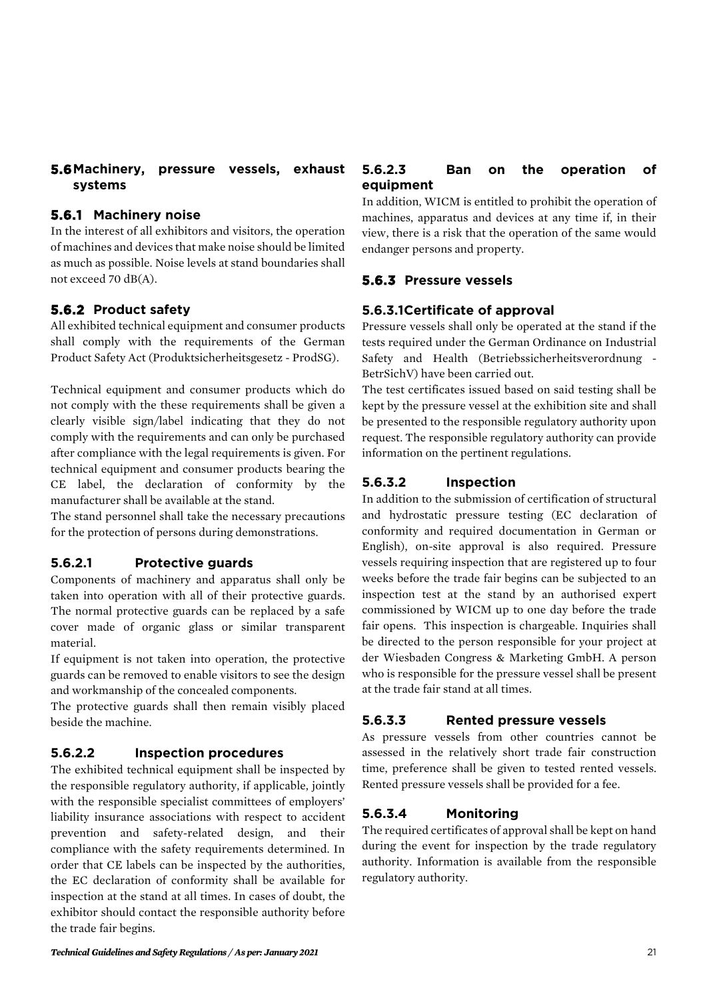# **5.6Machinery, pressure vessels, exhaust systems**

#### **5.6.1 Machinery noise**

In the interest of all exhibitors and visitors, the operation of machines and devices that make noise should be limited as much as possible. Noise levels at stand boundaries shall not exceed 70 dB(A).

# **5.6.2 Product safety**

All exhibited technical equipment and consumer products shall comply with the requirements of the German Product Safety Act (Produktsicherheitsgesetz - ProdSG).

Technical equipment and consumer products which do not comply with the these requirements shall be given a clearly visible sign/label indicating that they do not comply with the requirements and can only be purchased after compliance with the legal requirements is given. For technical equipment and consumer products bearing the CE label, the declaration of conformity by the manufacturer shall be available at the stand.

The stand personnel shall take the necessary precautions for the protection of persons during demonstrations.

# **5.6.2.1 Protective guards**

Components of machinery and apparatus shall only be taken into operation with all of their protective guards. The normal protective guards can be replaced by a safe cover made of organic glass or similar transparent material.

If equipment is not taken into operation, the protective guards can be removed to enable visitors to see the design and workmanship of the concealed components.

The protective guards shall then remain visibly placed beside the machine.

#### **5.6.2.2 Inspection procedures**

The exhibited technical equipment shall be inspected by the responsible regulatory authority, if applicable, jointly with the responsible specialist committees of employers' liability insurance associations with respect to accident prevention and safety-related design, and their compliance with the safety requirements determined. In order that CE labels can be inspected by the authorities, the EC declaration of conformity shall be available for inspection at the stand at all times. In cases of doubt, the exhibitor should contact the responsible authority before the trade fair begins.

#### **5.6.2.3 Ban on the operation of equipment**

In addition, WICM is entitled to prohibit the operation of machines, apparatus and devices at any time if, in their view, there is a risk that the operation of the same would endanger persons and property.

# **5.6.3 Pressure vessels**

# **5.6.3.1Certificate of approval**

Pressure vessels shall only be operated at the stand if the tests required under the German Ordinance on Industrial Safety and Health (Betriebssicherheitsverordnung - BetrSichV) have been carried out.

The test certificates issued based on said testing shall be kept by the pressure vessel at the exhibition site and shall be presented to the responsible regulatory authority upon request. The responsible regulatory authority can provide information on the pertinent regulations.

# **5.6.3.2 Inspection**

In addition to the submission of certification of structural and hydrostatic pressure testing (EC declaration of conformity and required documentation in German or English), on-site approval is also required. Pressure vessels requiring inspection that are registered up to four weeks before the trade fair begins can be subjected to an inspection test at the stand by an authorised expert commissioned by WICM up to one day before the trade fair opens. This inspection is chargeable. Inquiries shall be directed to the person responsible for your project at der Wiesbaden Congress & Marketing GmbH. A person who is responsible for the pressure vessel shall be present at the trade fair stand at all times.

# **5.6.3.3 Rented pressure vessels**

As pressure vessels from other countries cannot be assessed in the relatively short trade fair construction time, preference shall be given to tested rented vessels. Rented pressure vessels shall be provided for a fee.

# **5.6.3.4 Monitoring**

The required certificates of approval shall be kept on hand during the event for inspection by the trade regulatory authority. Information is available from the responsible regulatory authority.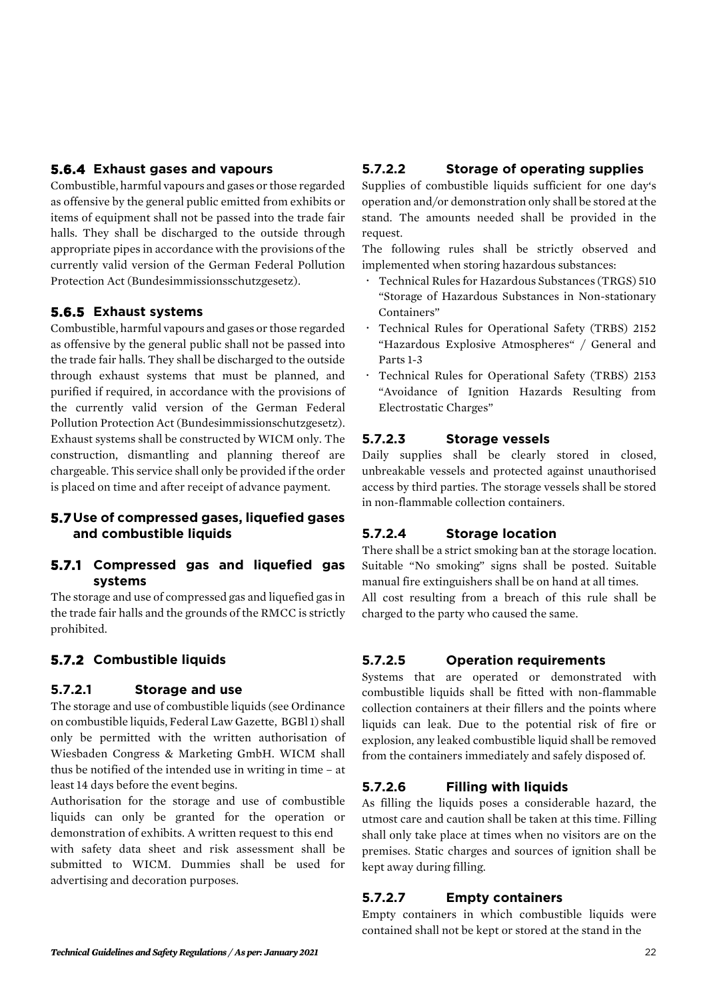# **5.6.4 Exhaust gases and vapours**

Combustible, harmful vapours and gases or those regarded as offensive by the general public emitted from exhibits or items of equipment shall not be passed into the trade fair halls. They shall be discharged to the outside through appropriate pipes in accordance with the provisions of the currently valid version of the German Federal Pollution Protection Act (Bundesimmissionsschutzgesetz).

# **5.6.5 Exhaust systems**

Combustible, harmful vapours and gases or those regarded as offensive by the general public shall not be passed into the trade fair halls. They shall be discharged to the outside through exhaust systems that must be planned, and purified if required, in accordance with the provisions of the currently valid version of the German Federal Pollution Protection Act (Bundesimmissionschutzgesetz). Exhaust systems shall be constructed by WICM only. The construction, dismantling and planning thereof are chargeable. This service shall only be provided if the order is placed on time and after receipt of advance payment.

#### **5.7Use of compressed gases, liquefied gases and combustible liquids**

#### **5.7.1 Compressed gas and liquefied gas systems**

The storage and use of compressed gas and liquefied gas in the trade fair halls and the grounds of the RMCC is strictly prohibited.

# **5.7.2 Combustible liquids**

#### **5.7.2.1 Storage and use**

The storage and use of combustible liquids (see Ordinance on combustible liquids, Federal Law Gazette, BGBl 1) shall only be permitted with the written authorisation of Wiesbaden Congress & Marketing GmbH. WICM shall thus be notified of the intended use in writing in time – at least 14 days before the event begins.

Authorisation for the storage and use of combustible liquids can only be granted for the operation or demonstration of exhibits. A written request to this end with safety data sheet and risk assessment shall be

submitted to WICM. Dummies shall be used for advertising and decoration purposes.

# **5.7.2.2 Storage of operating supplies**

Supplies of combustible liquids sufficient for one day's operation and/or demonstration only shall be stored at the stand. The amounts needed shall be provided in the request.

The following rules shall be strictly observed and implemented when storing hazardous substances:

- Technical Rules for Hazardous Substances (TRGS) 510 "Storage of Hazardous Substances in Non-stationary Containers"
- Technical Rules for Operational Safety (TRBS) 2152 "Hazardous Explosive Atmospheres" / General and Parts 1-3
- Technical Rules for Operational Safety (TRBS) 2153 "Avoidance of Ignition Hazards Resulting from Electrostatic Charges"

# **5.7.2.3 Storage vessels**

Daily supplies shall be clearly stored in closed, unbreakable vessels and protected against unauthorised access by third parties. The storage vessels shall be stored in non-flammable collection containers.

# **5.7.2.4 Storage location**

There shall be a strict smoking ban at the storage location. Suitable "No smoking" signs shall be posted. Suitable manual fire extinguishers shall be on hand at all times. All cost resulting from a breach of this rule shall be charged to the party who caused the same.

# **5.7.2.5 Operation requirements**

Systems that are operated or demonstrated with combustible liquids shall be fitted with non-flammable collection containers at their fillers and the points where liquids can leak. Due to the potential risk of fire or explosion, any leaked combustible liquid shall be removed from the containers immediately and safely disposed of.

# **5.7.2.6 Filling with liquids**

As filling the liquids poses a considerable hazard, the utmost care and caution shall be taken at this time. Filling shall only take place at times when no visitors are on the premises. Static charges and sources of ignition shall be kept away during filling.

# **5.7.2.7 Empty containers**

Empty containers in which combustible liquids were contained shall not be kept or stored at the stand in the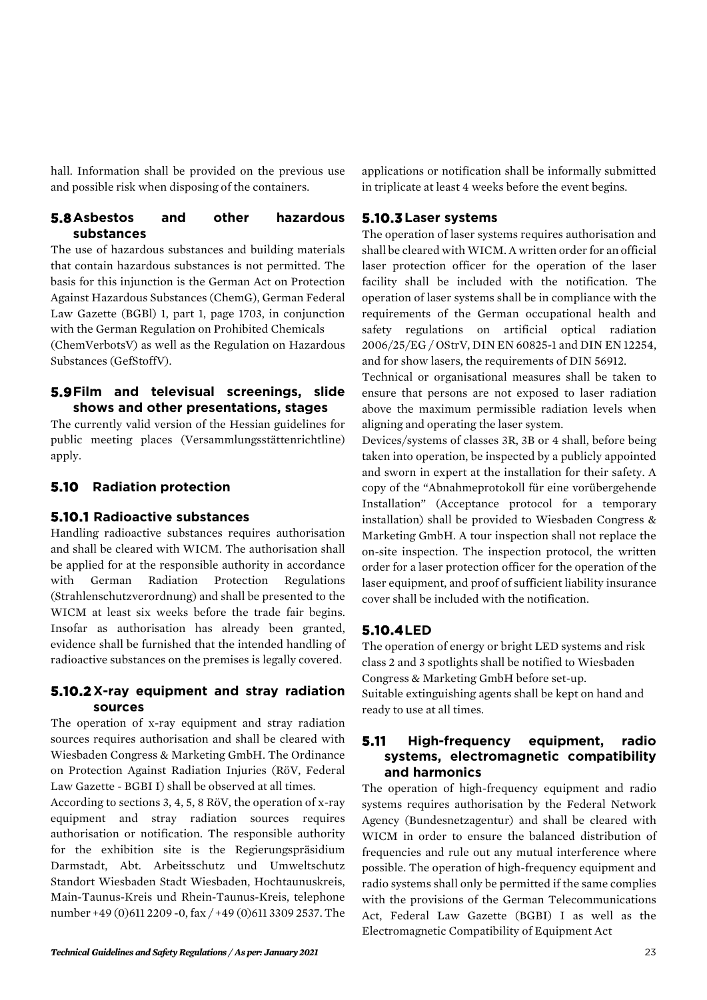hall. Information shall be provided on the previous use and possible risk when disposing of the containers.

#### **5.8Asbestos and other hazardous substances**

The use of hazardous substances and building materials that contain hazardous substances is not permitted. The basis for this injunction is the German Act on Protection Against Hazardous Substances (ChemG), German Federal Law Gazette (BGBl) 1, part 1, page 1703, in conjunction with the German Regulation on Prohibited Chemicals

(ChemVerbotsV) as well as the Regulation on Hazardous Substances (GefStoffV).

#### **5.9Film and televisual screenings, slide shows and other presentations, stages**

The currently valid version of the Hessian guidelines for public meeting places (Versammlungsstättenrichtline) apply.

# **5.10 Radiation protection**

#### **5.10.1 Radioactive substances**

Handling radioactive substances requires authorisation and shall be cleared with WICM. The authorisation shall be applied for at the responsible authority in accordance with German Radiation Protection Regulations (Strahlenschutzverordnung) and shall be presented to the WICM at least six weeks before the trade fair begins. Insofar as authorisation has already been granted, evidence shall be furnished that the intended handling of radioactive substances on the premises is legally covered.

# **5.10.2 X-ray equipment and stray radiation sources**

The operation of x-ray equipment and stray radiation sources requires authorisation and shall be cleared with Wiesbaden Congress & Marketing GmbH. The Ordinance on Protection Against Radiation Injuries (RöV, Federal Law Gazette - BGBI I) shall be observed at all times.

According to sections 3, 4, 5, 8 RöV, the operation of x-ray equipment and stray radiation sources requires authorisation or notification. The responsible authority for the exhibition site is the Regierungspräsidium Darmstadt, Abt. Arbeitsschutz und Umweltschutz Standort Wiesbaden Stadt Wiesbaden, Hochtaunuskreis, Main-Taunus-Kreis und Rhein-Taunus-Kreis, telephone number +49 (0)611 2209 -0, fax / +49 (0)611 3309 2537. The

applications or notification shall be informally submitted in triplicate at least 4 weeks before the event begins.

# **5.10.3Laser systems**

The operation of laser systems requires authorisation and shall be cleared with WICM. A written order for an official laser protection officer for the operation of the laser facility shall be included with the notification. The operation of laser systems shall be in compliance with the requirements of the German occupational health and safety regulations on artificial optical radiation 2006/25/EG / OStrV, DIN EN 60825-1 and DIN EN 12254, and for show lasers, the requirements of DIN 56912.

Technical or organisational measures shall be taken to ensure that persons are not exposed to laser radiation above the maximum permissible radiation levels when aligning and operating the laser system.

Devices/systems of classes 3R, 3B or 4 shall, before being taken into operation, be inspected by a publicly appointed and sworn in expert at the installation for their safety. A copy of the "Abnahmeprotokoll für eine vorübergehende Installation" (Acceptance protocol for a temporary installation) shall be provided to Wiesbaden Congress & Marketing GmbH. A tour inspection shall not replace the on-site inspection. The inspection protocol, the written order for a laser protection officer for the operation of the laser equipment, and proof of sufficient liability insurance cover shall be included with the notification.

# **5.10.4LED**

The operation of energy or bright LED systems and risk class 2 and 3 spotlights shall be notified to Wiesbaden Congress & Marketing GmbH before set-up. Suitable extinguishing agents shall be kept on hand and ready to use at all times.

#### **5.11 High-frequency equipment, radio systems, electromagnetic compatibility and harmonics**

The operation of high-frequency equipment and radio systems requires authorisation by the Federal Network Agency (Bundesnetzagentur) and shall be cleared with WICM in order to ensure the balanced distribution of frequencies and rule out any mutual interference where possible. The operation of high-frequency equipment and radio systems shall only be permitted if the same complies with the provisions of the German Telecommunications Act, Federal Law Gazette (BGBI) I as well as the Electromagnetic Compatibility of Equipment Act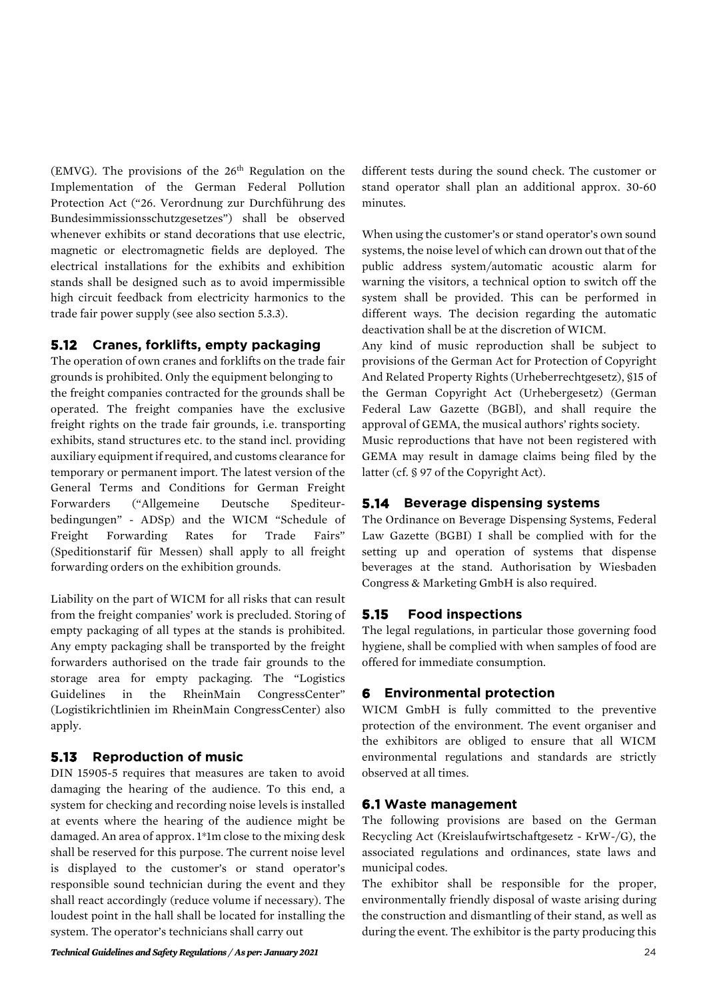(EMVG). The provisions of the  $26<sup>th</sup>$  Regulation on the Implementation of the German Federal Pollution Protection Act ("26. Verordnung zur Durchführung des Bundesimmissionsschutzgesetzes") shall be observed whenever exhibits or stand decorations that use electric, magnetic or electromagnetic fields are deployed. The electrical installations for the exhibits and exhibition stands shall be designed such as to avoid impermissible high circuit feedback from electricity harmonics to the trade fair power supply (see also section 5.3.3).

#### **5.12 Cranes, forklifts, empty packaging**

The operation of own cranes and forklifts on the trade fair grounds is prohibited. Only the equipment belonging to the freight companies contracted for the grounds shall be operated. The freight companies have the exclusive freight rights on the trade fair grounds, i.e. transporting exhibits, stand structures etc. to the stand incl. providing auxiliary equipment if required, and customs clearance for temporary or permanent import. The latest version of the General Terms and Conditions for German Freight Forwarders ("Allgemeine Deutsche Spediteurbedingungen" - ADSp) and the WICM "Schedule of Freight Forwarding Rates for Trade Fairs" (Speditionstarif für Messen) shall apply to all freight forwarding orders on the exhibition grounds.

Liability on the part of WICM for all risks that can result from the freight companies' work is precluded. Storing of empty packaging of all types at the stands is prohibited. Any empty packaging shall be transported by the freight forwarders authorised on the trade fair grounds to the storage area for empty packaging. The "Logistics Guidelines in the RheinMain CongressCenter" (Logistikrichtlinien im RheinMain CongressCenter) also apply.

# **5.13 Reproduction of music**

DIN 15905-5 requires that measures are taken to avoid damaging the hearing of the audience. To this end, a system for checking and recording noise levels is installed at events where the hearing of the audience might be damaged. An area of approx. 1\*1m close to the mixing desk shall be reserved for this purpose. The current noise level is displayed to the customer's or stand operator's responsible sound technician during the event and they shall react accordingly (reduce volume if necessary). The loudest point in the hall shall be located for installing the system. The operator's technicians shall carry out

different tests during the sound check. The customer or stand operator shall plan an additional approx. 30-60 minutes.

When using the customer's or stand operator's own sound systems, the noise level of which can drown out that of the public address system/automatic acoustic alarm for warning the visitors, a technical option to switch off the system shall be provided. This can be performed in different ways. The decision regarding the automatic deactivation shall be at the discretion of WICM.

Any kind of music reproduction shall be subject to provisions of the German Act for Protection of Copyright And Related Property Rights (Urheberrechtgesetz), §15 of the German Copyright Act (Urhebergesetz) (German Federal Law Gazette (BGBl), and shall require the approval of GEMA, the musical authors' rights society.

Music reproductions that have not been registered with GEMA may result in damage claims being filed by the latter (cf. § 97 of the Copyright Act).

# **5.14 Beverage dispensing systems**

The Ordinance on Beverage Dispensing Systems, Federal Law Gazette (BGBI) I shall be complied with for the setting up and operation of systems that dispense beverages at the stand. Authorisation by Wiesbaden Congress & Marketing GmbH is also required.

# **5.15 Food inspections**

The legal regulations, in particular those governing food hygiene, shall be complied with when samples of food are offered for immediate consumption.

# **6 Environmental protection**

WICM GmbH is fully committed to the preventive protection of the environment. The event organiser and the exhibitors are obliged to ensure that all WICM environmental regulations and standards are strictly observed at all times.

# **6.1 Waste management**

The following provisions are based on the German Recycling Act (Kreislaufwirtschaftgesetz - KrW-/G), the associated regulations and ordinances, state laws and municipal codes.

The exhibitor shall be responsible for the proper, environmentally friendly disposal of waste arising during the construction and dismantling of their stand, as well as during the event. The exhibitor is the party producing this

*Technical Guidelines and Safety Regulations / As per: January 2021* 24